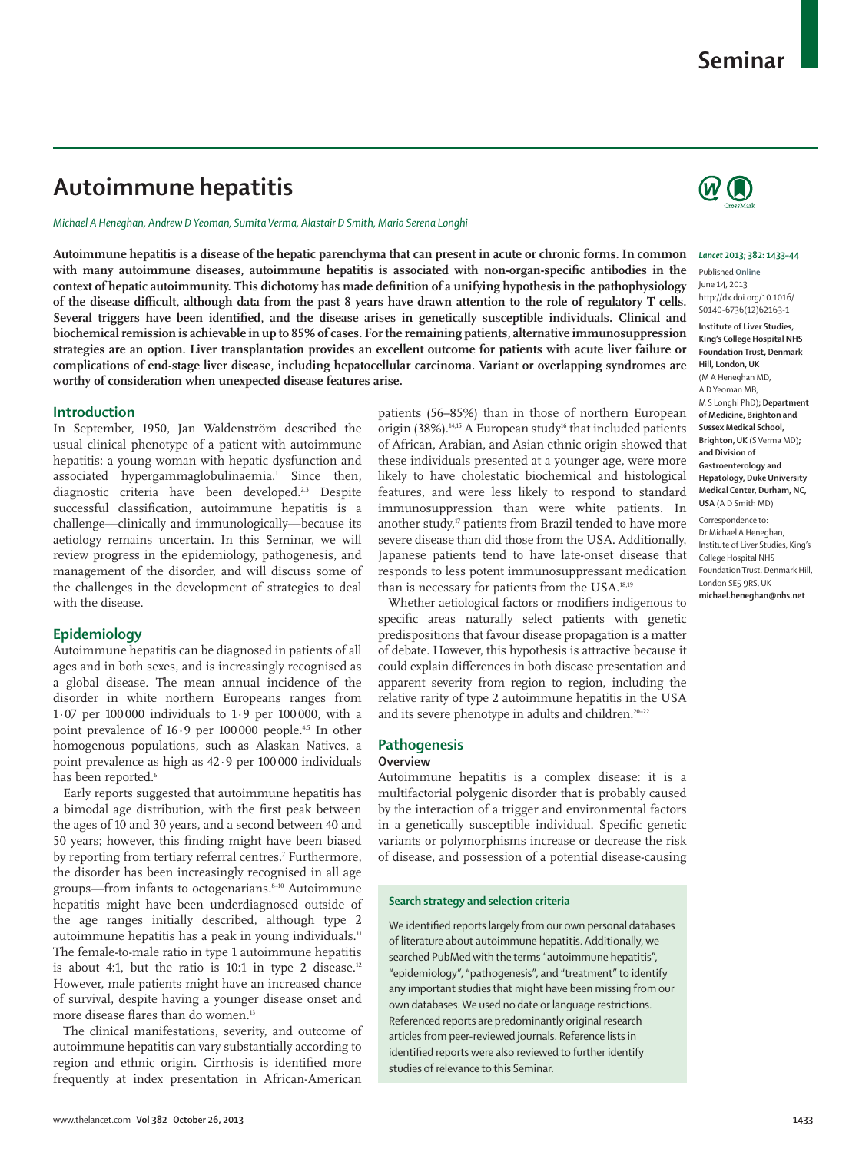# **Seminar**

# **Autoimmune hepatitis**

*Michael A Heneghan, Andrew D Yeoman, Sumita Verma, Alastair D Smith, Maria Serena Longhi*

**Autoimmune hepatitis is a disease of the hepatic parenchyma that can present in acute or chronic forms. In common**  with many autoimmune diseases, autoimmune hepatitis is associated with non-organ-specific antibodies in the context of hepatic autoimmunity. This dichotomy has made definition of a unifying hypothesis in the pathophysiology of the disease difficult, although data from the past 8 years have drawn attention to the role of regulatory T cells. Several triggers have been identified, and the disease arises in genetically susceptible individuals. Clinical and **biochemical remission is achievable in up to 85% of cases. For the remaining patients, alternative immunosuppression strategies are an option. Liver transplantation provides an excellent outcome for patients with acute liver failure or**  complications of end-stage liver disease, including hepatocellular carcinoma. Variant or overlapping syndromes are **worthy of consideration when unexpected disease features arise.**

### **Introduction**

In September, 1950, Jan Waldenström described the usual clinical phenotype of a patient with autoimmune hepatitis: a young woman with hepatic dysfunction and associated hypergammaglobulinaemia.1 Since then, diagnostic criteria have been developed.<sup>2,3</sup> Despite successful classification, autoimmune hepatitis is a challenge—clinically and immunologically—because its aetiology remains uncertain. In this Seminar, we will review progress in the epidemiology, pathogenesis, and management of the disorder, and will discuss some of the challenges in the development of strategies to deal with the disease.

## **Epidemiology**

Autoimmune hepatitis can be diagnosed in patients of all ages and in both sexes, and is increasingly recognised as a global disease. The mean annual incidence of the disorder in white northern Europeans ranges from 1·07 per 100 000 individuals to 1·9 per 100 000, with a point prevalence of  $16.9$  per  $100000$  people.<sup>4,5</sup> In other homogenous populations, such as Alaskan Natives, a point prevalence as high as 42·9 per 100 000 individuals has been reported.<sup>6</sup>

Early reports suggested that autoimmune hepatitis has a bimodal age distribution, with the first peak between the ages of 10 and 30 years, and a second between 40 and 50 years; however, this finding might have been biased by reporting from tertiary referral centres.<sup>7</sup> Furthermore, the disorder has been increasingly recognised in all age groups—from infants to octogenarians.<sup>8-10</sup> Autoimmune hepatitis might have been underdiagnosed outside of the age ranges initially described, although type 2 autoimmune hepatitis has a peak in young individuals.<sup>11</sup> The female-to-male ratio in type 1 autoimmune hepatitis is about 4:1, but the ratio is 10:1 in type 2 disease.<sup>12</sup> However, male patients might have an increased chance of survival, despite having a younger disease onset and more disease flares than do women.<sup>13</sup>

The clinical manifestations, severity, and outcome of autoimmune hepatitis can vary substantially according to region and ethnic origin. Cirrhosis is identified more frequently at index presentation in African-American patients (56–85%) than in those of northern European origin (38%).<sup>14,15</sup> A European study<sup>16</sup> that included patients of African, Arabian, and Asian ethnic origin showed that these individuals presented at a younger age, were more likely to have cholestatic biochemical and histological features, and were less likely to respond to standard immunosuppression than were white patients. In another study,<sup>17</sup> patients from Brazil tended to have more severe disease than did those from the USA. Additionally, Japanese patients tend to have late-onset disease that responds to less potent immunosuppressant medication than is necessary for patients from the USA.18,19

Whether aetiological factors or modifiers indigenous to specific areas naturally select patients with genetic predispositions that favour disease propagation is a matter of debate. However, this hypothesis is attractive because it could explain differences in both disease presentation and apparent severity from region to region, including the relative rarity of type 2 autoimmune hepatitis in the USA and its severe phenotype in adults and children.<sup>20-22</sup>

## **Pathogenesis**

### **Overview**

Autoimmune hepatitis is a complex disease: it is a multifactorial polygenic disorder that is probably caused by the interaction of a trigger and environmental factors in a genetically susceptible individual. Specific genetic variants or polymorphisms increase or decrease the risk of disease, and possession of a potential disease-causing

#### **Search strategy and selection criteria**

We identified reports largely from our own personal databases of literature about autoimmune hepatitis. Additionally, we searched PubMed with the terms "autoimmune hepatitis", "epidemiology", "pathogenesis", and "treatment" to identify any important studies that might have been missing from our own databases. We used no date or language restrictions. Referenced reports are predominantly original research articles from peer-reviewed journals. Reference lists in identified reports were also reviewed to further identify studies of relevance to this Seminar.



#### *Lancet* **2013; 382: 1433–44**

Published **Online** June 14, 2013 http://dx.doi.org/10.1016/ S0140-6736(12)62163-1 **Institute of Liver Studies,** 

**King's College Hospital NHS Foundation Trust, Denmark Hill, London, UK** (M A Heneghan MD, A D Yeoman MB, M S Longhi PhD)**; Department of Medicine, Brighton and Sussex Medical School, Brighton, UK** (S Verma MD)**; and Division of Gastroenterology and Hepatology, Duke University Medical Center, Durham, NC, USA** (A D Smith MD)

Correspondence to: Dr Michael A Heneghan, Institute of Liver Studies, King's College Hospital NHS Foundation Trust, Denmark Hill, London SE5 9RS, UK **michael.heneghan@nhs.net**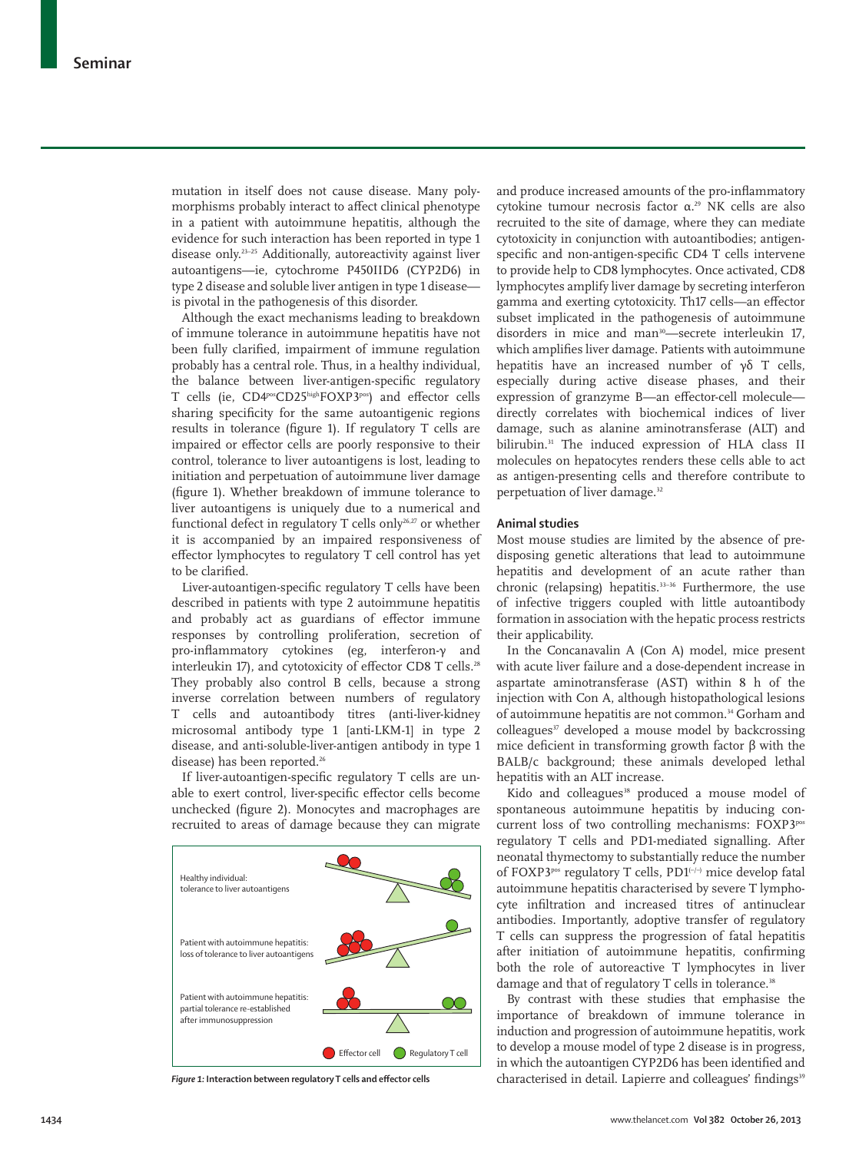mutation in itself does not cause disease. Many polymorphisms probably interact to affect clinical phenotype in a patient with autoimmune hepatitis, although the evidence for such interaction has been reported in type 1 disease only.<sup>23-25</sup> Additionally, autoreactivity against liver autoantigens—ie, cytochrome P450IID6 (CYP2D6) in type 2 disease and soluble liver antigen in type 1 disease is pivotal in the pathogenesis of this disorder.

Although the exact mechanisms leading to breakdown of immune tolerance in autoimmune hepatitis have not been fully clarified, impairment of immune regulation probably has a central role. Thus, in a healthy individual, the balance between liver-antigen-specific regulatory T cells (ie, CD4posCD25highFOXP3pos) and effector cells sharing specificity for the same autoantigenic regions results in tolerance (figure 1). If regulatory T cells are impaired or effector cells are poorly responsive to their control, tolerance to liver autoantigens is lost, leading to initiation and perpetuation of autoimmune liver damage (figure 1). Whether breakdown of immune tolerance to liver autoantigens is uniquely due to a numerical and functional defect in regulatory T cells only<sup>26,27</sup> or whether it is accompanied by an impaired responsiveness of effector lymphocytes to regulatory T cell control has yet to be clarified.

Liver-autoantigen-specific regulatory T cells have been described in patients with type 2 autoimmune hepatitis and probably act as guardians of effector immune responses by controlling proliferation, secretion of pro-inflammatory cytokines (eg, interferon-γ and interleukin 17), and cytotoxicity of effector CD8 T cells.<sup>28</sup> They probably also control B cells, because a strong inverse correlation between numbers of regulatory T cells and autoantibody titres (anti-liver-kidney microsomal antibody type 1 [anti-LKM-1] in type 2 disease, and anti-soluble-liver-antigen antibody in type 1 disease) has been reported.<sup>26</sup>

If liver-autoantigen-specific regulatory T cells are unable to exert control, liver-specific effector cells become unchecked (figure 2). Monocytes and macrophages are recruited to areas of damage because they can migrate



and produce increased amounts of the pro-inflammatory cytokine tumour necrosis factor α.29 NK cells are also recruited to the site of damage, where they can mediate cytotoxicity in conjunction with autoantibodies; antigenspecific and non-antigen-specific CD4 T cells intervene to provide help to CD8 lymphocytes. Once activated, CD8 lymphocytes amplify liver damage by secreting interferon gamma and exerting cytotoxicity. Th17 cells—an effector subset implicated in the pathogenesis of autoimmune disorders in mice and man<sup>30</sup>—secrete interleukin 17, which amplifies liver damage. Patients with autoimmune hepatitis have an increased number of γδ T cells, especially during active disease phases, and their expression of granzyme B—an effector-cell molecule directly correlates with biochemical indices of liver damage, such as alanine aminotransferase (ALT) and bilirubin.<sup>31</sup> The induced expression of HLA class II molecules on hepatocytes renders these cells able to act as antigen-presenting cells and therefore contribute to perpetuation of liver damage.<sup>32</sup>

### **Animal studies**

Most mouse studies are limited by the absence of predisposing genetic alterations that lead to autoimmune hepatitis and development of an acute rather than chronic (relapsing) hepatitis. $33-36$  Furthermore, the use of infective triggers coupled with little autoantibody formation in association with the hepatic process restricts their applicability.

In the Concanavalin A (Con A) model, mice present with acute liver failure and a dose-dependent increase in aspartate aminotransferase (AST) within 8 h of the injection with Con A, although histopathological lesions of autoimmune hepatitis are not common.<sup>34</sup> Gorham and colleagues<sup>37</sup> developed a mouse model by backcrossing mice deficient in transforming growth factor  $β$  with the BALB/c background; these animals developed lethal hepatitis with an ALT increase.

Kido and colleagues<sup>38</sup> produced a mouse model of spontaneous autoimmune hepatitis by inducing concurrent loss of two controlling mechanisms: FOXP3pos regulatory T cells and PD1-mediated signalling. After neonatal thymectomy to substantially reduce the number of FOXP3<sup>pos</sup> regulatory T cells, PD1 $\left(-\right)$  mice develop fatal autoimmune hepatitis characterised by severe T lymphocyte infiltration and increased titres of antinuclear antibodies. Importantly, adoptive transfer of regulatory T cells can suppress the progression of fatal hepatitis after initiation of autoimmune hepatitis, confirming both the role of autoreactive T lymphocytes in liver damage and that of regulatory T cells in tolerance.<sup>38</sup>

By contrast with these studies that emphasise the importance of breakdown of immune tolerance in induction and progression of autoimmune hepatitis, work to develop a mouse model of type 2 disease is in progress, in which the autoantigen CYP2D6 has been identified and Figure 1: Interaction between requlatory T cells and effector cells extended and colleagues' findings<sup>39</sup> Findings<sup>39</sup>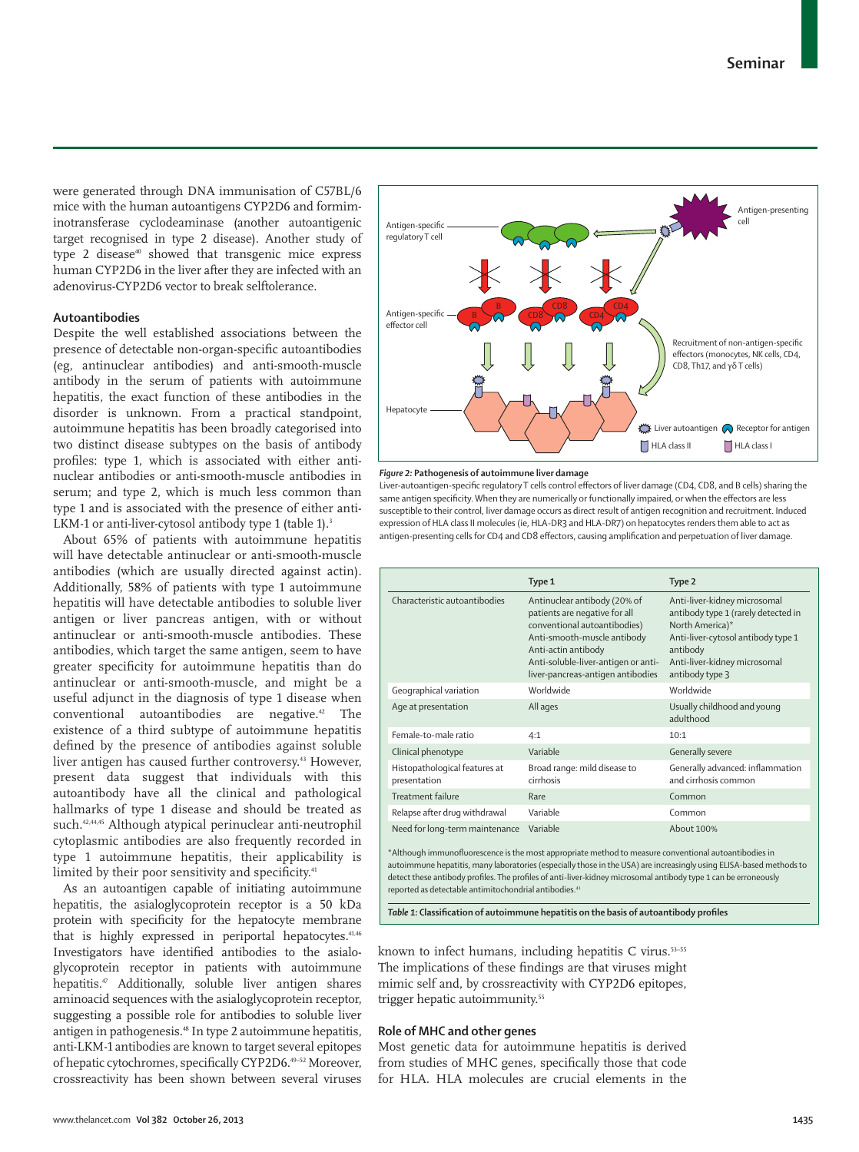were generated through DNA immunisation of C57BL/6 mice with the human autoantigens CYP2D6 and formimino transferase cyclodeaminase (another auto antigenic target recognised in type 2 disease). Another study of type 2 disease<sup>40</sup> showed that transgenic mice express human CYP2D6 in the liver after they are infected with an adenovirus-CYP2D6 vector to break selftolerance.

## **Autoantibodies**

Despite the well established associations between the presence of detectable non-organ-specific autoantibodies (eg, antinuclear antibodies) and anti-smooth-muscle antibody in the serum of patients with autoimmune hepatitis, the exact function of these antibodies in the disorder is unknown. From a practical standpoint, autoimmune hepatitis has been broadly categorised into two distinct disease subtypes on the basis of antibody profiles: type 1, which is associated with either antinuclear antibodies or anti-smooth-muscle antibodies in serum; and type 2, which is much less common than type 1 and is associated with the presence of either anti-LKM-1 or anti-liver-cytosol antibody type 1 (table 1).<sup>3</sup>

About 65% of patients with autoimmune hepatitis will have detectable antinuclear or anti-smooth-muscle antibodies (which are usually directed against actin). Additionally, 58% of patients with type 1 autoimmune hepatitis will have detectable antibodies to soluble liver antigen or liver pancreas antigen, with or without antinuclear or anti-smooth-muscle antibodies. These antibodies, which target the same antigen, seem to have greater specificity for autoimmune hepatitis than do antinuclear or anti-smooth-muscle, and might be a useful adjunct in the diagnosis of type 1 disease when conventional autoantibodies are negative.42 The existence of a third subtype of autoimmune hepatitis defined by the presence of antibodies against soluble liver antigen has caused further controversy.<sup>43</sup> However, present data suggest that individuals with this autoantibody have all the clinical and pathological hallmarks of type 1 disease and should be treated as such.42,44,45 Although atypical perinuclear anti-neutrophil cytoplasmic antibodies are also frequently recorded in type 1 autoimmune hepatitis, their applicability is limited by their poor sensitivity and specificity.<sup>41</sup>

As an autoantigen capable of initiating autoimmune hepatitis, the asialoglycoprotein receptor is a 50 kDa protein with specificity for the hepatocyte membrane that is highly expressed in periportal hepatocytes.<sup>41,46</sup> Investigators have identified antibodies to the asialoglycoprotein receptor in patients with autoimmune hepatitis.47 Additionally, soluble liver antigen shares aminoacid sequences with the asialoglycoprotein receptor, suggesting a possible role for antibodies to soluble liver antigen in pathogenesis.48 In type 2 autoimmune hepatitis, anti-LKM-1 antibodies are known to target several epitopes of hepatic cytochromes, specifically CYP2D6.<sup>49-52</sup> Moreover, crossreactivity has been shown between several viruses



#### *Figure 2:* **Pathogenesis of autoimmune liver damage**

Liver-autoantigen-specific regulatory T cells control effectors of liver damage (CD4, CD8, and B cells) sharing the same antigen specificity. When they are numerically or functionally impaired, or when the effectors are less susceptible to their control, liver damage occurs as direct result of antigen recognition and recruitment. Induced expression of HLA class II molecules (ie, HLA-DR3 and HLA-DR7) on hepatocytes renders them able to act as antigen-presenting cells for CD4 and CD8 effectors, causing amplification and perpetuation of liver damage.

|                                                                                                                                                                   | Type 1                                                                                                                                                                                                                          | Type 2                                                                                                                                                                                      |
|-------------------------------------------------------------------------------------------------------------------------------------------------------------------|---------------------------------------------------------------------------------------------------------------------------------------------------------------------------------------------------------------------------------|---------------------------------------------------------------------------------------------------------------------------------------------------------------------------------------------|
| Characteristic autoantibodies                                                                                                                                     | Antinuclear antibody (20% of<br>patients are negative for all<br>conventional autoantibodies)<br>Anti-smooth-muscle antibody<br>Anti-actin antibody<br>Anti-soluble-liver-antigen or anti-<br>liver-pancreas-antigen antibodies | Anti-liver-kidney microsomal<br>antibody type 1 (rarely detected in<br>North America)*<br>Anti-liver-cytosol antibody type 1<br>antibody<br>Anti-liver-kidney microsomal<br>antibody type 3 |
| Geographical variation                                                                                                                                            | Worldwide                                                                                                                                                                                                                       | Worldwide                                                                                                                                                                                   |
| Age at presentation                                                                                                                                               | All ages                                                                                                                                                                                                                        | Usually childhood and young<br>adulthood                                                                                                                                                    |
| Female-to-male ratio                                                                                                                                              | 4:1                                                                                                                                                                                                                             | 10:1                                                                                                                                                                                        |
| Clinical phenotype                                                                                                                                                | Variable                                                                                                                                                                                                                        | Generally severe                                                                                                                                                                            |
| Histopathological features at<br>presentation                                                                                                                     | Broad range: mild disease to<br>cirrhosis                                                                                                                                                                                       | Generally advanced: inflammation<br>and cirrhosis common                                                                                                                                    |
| <b>Treatment failure</b>                                                                                                                                          | Rare                                                                                                                                                                                                                            | Common                                                                                                                                                                                      |
| Relapse after drug withdrawal                                                                                                                                     | Variable                                                                                                                                                                                                                        | Common                                                                                                                                                                                      |
| Variable<br>About 100%<br>Need for long-term maintenance<br>*Although immunofluorescence is the most appropriate method to measure conventional autoantibodies in |                                                                                                                                                                                                                                 |                                                                                                                                                                                             |

autoimmune hepatitis, many laboratories (especially those in the USA) are increasingly using ELISA-based methods to detect these antibody profiles. The profiles of anti-liver-kidney microsomal antibody type 1 can be erroneously reported as detectable antimitochondrial antibodies.41

Table 1: Classification of autoimmune hepatitis on the basis of autoantibody profiles

known to infect humans, including hepatitis C virus.<sup>53-55</sup> The implications of these findings are that viruses might mimic self and, by crossreactivity with CYP2D6 epitopes, trigger hepatic autoimmunity.<sup>55</sup>

#### **Role of MHC and other genes**

Most genetic data for autoimmune hepatitis is derived from studies of MHC genes, specifically those that code for HLA. HLA molecules are crucial elements in the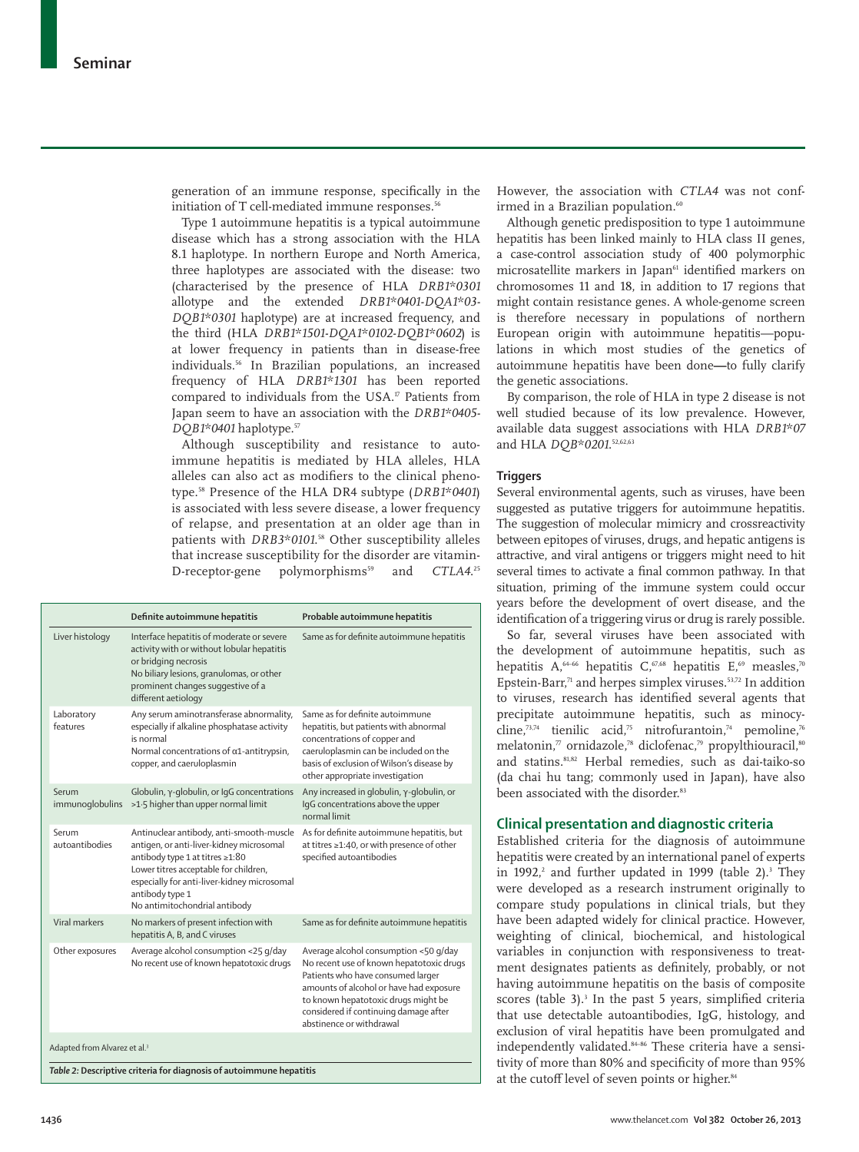generation of an immune response, specifically in the initiation of T cell-mediated immune responses.<sup>56</sup>

Type 1 autoimmune hepatitis is a typical autoimmune disease which has a strong association with the HLA 8.1 haplotype. In northern Europe and North America, three haplotypes are associated with the disease: two (characterised by the presence of HLA *DRB1\*0301* allotype and the extended *DRB1\*0401-DQA1\*03- DQB1\*0301* haplotype) are at increased frequency, and the third (HLA *DRB1\*1501-DQA1\*0102-DQB1\*0602*) is at lower frequency in patients than in disease-free individuals.<sup>56</sup> In Brazilian populations, an increased frequency of HLA *DRB1\*1301* has been reported compared to individuals from the USA.<sup>17</sup> Patients from Japan seem to have an association with the *DRB1\*0405- DQB1\*0401* haplotype.57

Although susceptibility and resistance to autoimmune hepatitis is mediated by HLA alleles, HLA alleles can also act as modifiers to the clinical phenotype.58 Presence of the HLA DR4 subtype (*DRB1\*0401*) is associated with less severe disease, a lower frequency of relapse, and presentation at an older age than in patients with *DRB3\*0101*.<sup>58</sup> Other susceptibility alleles that increase susceptibility for the disorder are vitamin-D-receptor-gene polymorphisms<sup>59</sup> and  $CTLA4.^{25}$ 

| Interface hepatitis of moderate or severe<br>Same as for definite autoimmune hepatitis<br>Liver histology<br>activity with or without lobular hepatitis<br>or bridging necrosis<br>No biliary lesions, granulomas, or other<br>prominent changes suggestive of a<br>different aetiology<br>Same as for definite autoimmune<br>Laboratory<br>Any serum aminotransferase abnormality,<br>features<br>especially if alkaline phosphatase activity<br>hepatitis, but patients with abnormal<br>is normal<br>concentrations of copper and<br>caeruloplasmin can be included on the<br>Normal concentrations of $\alpha$ 1-antitrypsin,<br>basis of exclusion of Wilson's disease by<br>copper, and caeruloplasmin<br>other appropriate investigation<br>Any increased in globulin, γ-globulin, or<br>Serum<br>Globulin, γ-globulin, or IgG concentrations<br>>1.5 higher than upper normal limit<br>IqG concentrations above the upper<br>immunoglobulins<br>normal limit<br>Serum<br>Antinuclear antibody, anti-smooth-muscle<br>As for definite autoimmune hepatitis, but<br>autoantibodies<br>antigen, or anti-liver-kidney microsomal<br>at titres ≥1:40, or with presence of other<br>antibody type 1 at titres ≥1:80<br>specified autoantibodies<br>Lower titres acceptable for children,<br>especially for anti-liver-kidney microsomal<br>antibody type 1<br>No antimitochondrial antibody<br>Viral markers<br>Same as for definite autoimmune hepatitis<br>No markers of present infection with<br>hepatitis A, B, and C viruses<br>Other exposures<br>Average alcohol consumption <25 g/day<br>Average alcohol consumption <50 g/day<br>No recent use of known hepatotoxic drugs<br>No recent use of known hepatotoxic drugs<br>Patients who have consumed larger<br>amounts of alcohol or have had exposure<br>to known hepatotoxic drugs might be<br>considered if continuing damage after<br>abstinence or withdrawal |                                          | Definite autoimmune hepatitis | Probable autoimmune hepatitis |  |  |
|-------------------------------------------------------------------------------------------------------------------------------------------------------------------------------------------------------------------------------------------------------------------------------------------------------------------------------------------------------------------------------------------------------------------------------------------------------------------------------------------------------------------------------------------------------------------------------------------------------------------------------------------------------------------------------------------------------------------------------------------------------------------------------------------------------------------------------------------------------------------------------------------------------------------------------------------------------------------------------------------------------------------------------------------------------------------------------------------------------------------------------------------------------------------------------------------------------------------------------------------------------------------------------------------------------------------------------------------------------------------------------------------------------------------------------------------------------------------------------------------------------------------------------------------------------------------------------------------------------------------------------------------------------------------------------------------------------------------------------------------------------------------------------------------------------------------------------------------------------------------------------------------------------------------------------|------------------------------------------|-------------------------------|-------------------------------|--|--|
|                                                                                                                                                                                                                                                                                                                                                                                                                                                                                                                                                                                                                                                                                                                                                                                                                                                                                                                                                                                                                                                                                                                                                                                                                                                                                                                                                                                                                                                                                                                                                                                                                                                                                                                                                                                                                                                                                                                               |                                          |                               |                               |  |  |
|                                                                                                                                                                                                                                                                                                                                                                                                                                                                                                                                                                                                                                                                                                                                                                                                                                                                                                                                                                                                                                                                                                                                                                                                                                                                                                                                                                                                                                                                                                                                                                                                                                                                                                                                                                                                                                                                                                                               |                                          |                               |                               |  |  |
|                                                                                                                                                                                                                                                                                                                                                                                                                                                                                                                                                                                                                                                                                                                                                                                                                                                                                                                                                                                                                                                                                                                                                                                                                                                                                                                                                                                                                                                                                                                                                                                                                                                                                                                                                                                                                                                                                                                               |                                          |                               |                               |  |  |
|                                                                                                                                                                                                                                                                                                                                                                                                                                                                                                                                                                                                                                                                                                                                                                                                                                                                                                                                                                                                                                                                                                                                                                                                                                                                                                                                                                                                                                                                                                                                                                                                                                                                                                                                                                                                                                                                                                                               |                                          |                               |                               |  |  |
|                                                                                                                                                                                                                                                                                                                                                                                                                                                                                                                                                                                                                                                                                                                                                                                                                                                                                                                                                                                                                                                                                                                                                                                                                                                                                                                                                                                                                                                                                                                                                                                                                                                                                                                                                                                                                                                                                                                               |                                          |                               |                               |  |  |
|                                                                                                                                                                                                                                                                                                                                                                                                                                                                                                                                                                                                                                                                                                                                                                                                                                                                                                                                                                                                                                                                                                                                                                                                                                                                                                                                                                                                                                                                                                                                                                                                                                                                                                                                                                                                                                                                                                                               |                                          |                               |                               |  |  |
|                                                                                                                                                                                                                                                                                                                                                                                                                                                                                                                                                                                                                                                                                                                                                                                                                                                                                                                                                                                                                                                                                                                                                                                                                                                                                                                                                                                                                                                                                                                                                                                                                                                                                                                                                                                                                                                                                                                               | Adapted from Alvarez et al. <sup>3</sup> |                               |                               |  |  |

*Table 2:* **Descriptive criteria for diagnosis of autoimmune hepatitis**

However, the association with *CTLA4* was not confirmed in a Brazilian population.<sup>60</sup>

Although genetic predisposition to type 1 autoimmune hepatitis has been linked mainly to HLA class II genes, a case-control association study of 400 polymorphic microsatellite markers in Japan<sup>61</sup> identified markers on chromosomes 11 and 18, in addition to 17 regions that might contain resistance genes. A whole-genome screen is therefore necessary in populations of northern European origin with autoimmune hepatitis—populations in which most studies of the genetics of autoimmune hepatitis have been done**—**to fully clarify the genetic associations.

By comparison, the role of HLA in type 2 disease is not well studied because of its low prevalence. However, available data suggest associations with HLA *DRB1\*07* and HLA *DQB\*0201*. 52,62,63

#### **Triggers**

Several environmental agents, such as viruses, have been suggested as putative triggers for autoimmune hepatitis. The suggestion of molecular mimicry and crossreactivity between epitopes of viruses, drugs, and hepatic antigens is attractive, and viral antigens or triggers might need to hit several times to activate a final common pathway. In that situation, priming of the immune system could occur years before the development of overt disease, and the identification of a triggering virus or drug is rarely possible.

So far, several viruses have been associated with the development of autoimmune hepatitis, such as hepatitis A,<sup>64–66</sup> hepatitis C,<sup>67,68</sup> hepatitis E,<sup>69</sup> measles,<sup>70</sup> Epstein-Barr, $71$  and herpes simplex viruses.<sup>53,72</sup> In addition to viruses, research has identified several agents that precipitate autoimmune hepatitis, such as minocycline,<sup>73,74</sup> tienilic acid,<sup>75</sup> nitrofurantoin,<sup>74</sup> pemoline,<sup>76</sup> melatonin,7 ornidazole,78 diclofenac,79 propylthiouracil,80 and statins.81,82 Herbal remedies, such as dai-taiko-so (da chai hu tang; commonly used in Japan), have also been associated with the disorder.<sup>83</sup>

## **Clinical presentation and diagnostic criteria**

Established criteria for the diagnosis of autoimmune hepatitis were created by an international panel of experts in 1992, $^2$  and further updated in 1999 (table 2).<sup>3</sup> They were developed as a research instrument originally to compare study populations in clinical trials, but they have been adapted widely for clinical practice. However, weighting of clinical, biochemical, and histological variables in conjunction with responsiveness to treatment designates patients as definitely, probably, or not having autoimmune hepatitis on the basis of composite scores (table  $3$ ).<sup>3</sup> In the past 5 years, simplified criteria that use detectable autoantibodies, IgG, histology, and exclusion of viral hepatitis have been promulgated and independently validated.<sup>84-86</sup> These criteria have a sensitivity of more than 80% and specificity of more than 95% at the cutoff level of seven points or higher.<sup>84</sup>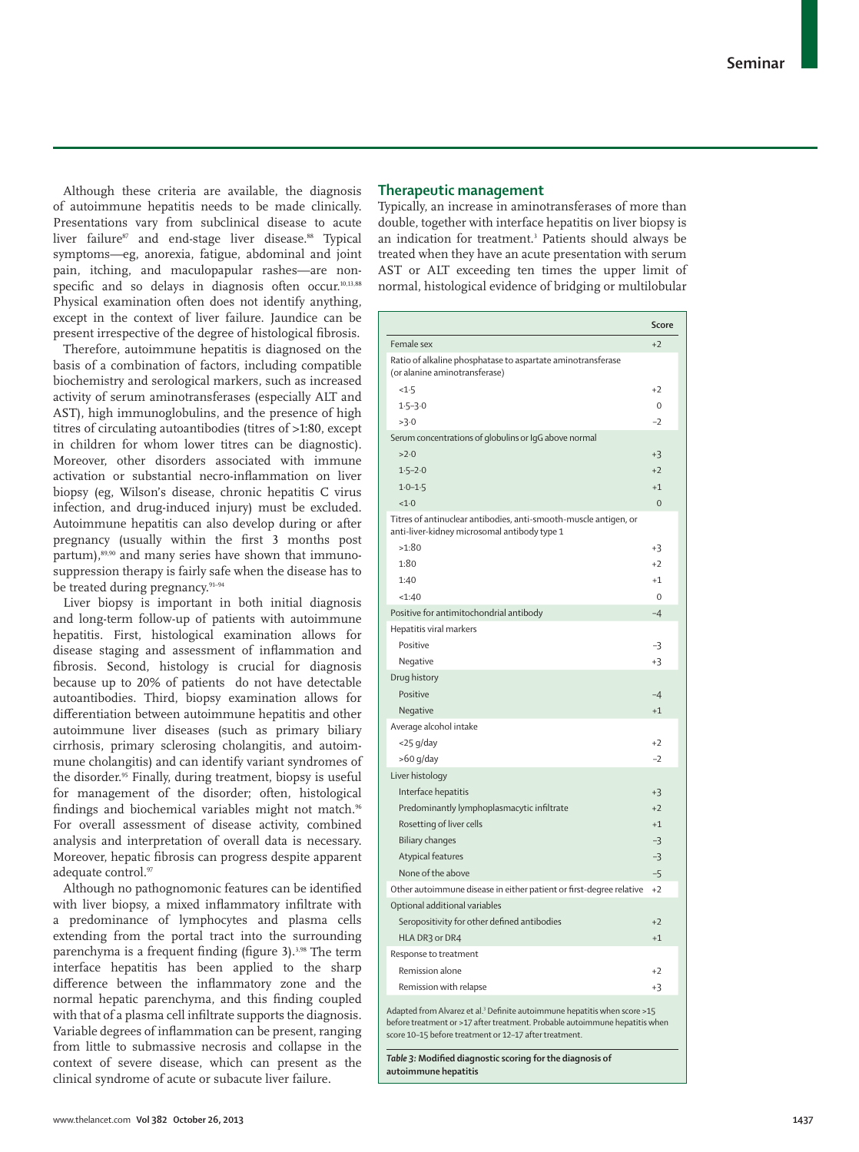Although these criteria are available, the diagnosis of autoimmune hepatitis needs to be made clinically. Presentations vary from subclinical disease to acute liver failure<sup>87</sup> and end-stage liver disease.<sup>88</sup> Typical symptoms—eg, anorexia, fatigue, abdominal and joint pain, itching, and maculopapular rashes—are nonspecific and so delays in diagnosis often occur.<sup>10,13,88</sup> Physical examination often does not identify anything, except in the context of liver failure. Jaundice can be present irrespective of the degree of histological fibrosis.

Therefore, autoimmune hepatitis is diagnosed on the basis of a combination of factors, including compatible biochemistry and serological markers, such as increased activity of serum aminotransferases (especially ALT and AST), high immunoglobulins, and the presence of high titres of circulating autoantibodies (titres of >1:80, except in children for whom lower titres can be diagnostic). Moreover, other disorders associated with immune activation or substantial necro-inflammation on liver biopsy (eg, Wilson's disease, chronic hepatitis C virus infection, and drug-induced injury) must be excluded. Autoimmune hepatitis can also develop during or after pregnancy (usually within the first 3 months post partum),<sup>89,90</sup> and many series have shown that immunosuppression therapy is fairly safe when the disease has to be treated during pregnancy.<sup>91-94</sup>

Liver biopsy is important in both initial diagnosis and long-term follow-up of patients with autoimmune hepatitis. First, histological examination allows for disease staging and assessment of inflammation and fibrosis. Second, histology is crucial for diagnosis because up to 20% of patients do not have detectable autoantibodies. Third, biopsy examination allows for differentiation between autoimmune hepatitis and other autoimmune liver diseases (such as primary biliary cirrhosis, primary sclerosing cholangitis, and autoimmune cholangitis) and can identify variant syndromes of the disorder. 95 Finally, during treatment, biopsy is useful for management of the disorder; often, histological findings and biochemical variables might not match.<sup>96</sup> For overall assessment of disease activity, combined analysis and interpretation of overall data is necessary. Moreover, hepatic fibrosis can progress despite apparent adequate control.97

Although no pathognomonic features can be identified with liver biopsy, a mixed inflammatory infiltrate with a predominance of lymphocytes and plasma cells extending from the portal tract into the surrounding parenchyma is a frequent finding (figure 3).<sup>3,98</sup> The term interface hepatitis has been applied to the sharp difference between the inflammatory zone and the normal hepatic parenchyma, and this finding coupled with that of a plasma cell infiltrate supports the diagnosis. Variable degrees of inflammation can be present, ranging from little to submassive necrosis and collapse in the context of severe disease, which can present as the clinical syndrome of acute or subacute liver failure.

## **Therapeutic management**

Typically, an increase in aminotransferases of more than double, together with interface hepatitis on liver biopsy is an indication for treatment.3 Patients should always be treated when they have an acute presentation with serum AST or ALT exceeding ten times the upper limit of normal, histological evidence of bridging or multilobular

|                                                                                                                                                          | <b>Score</b> |
|----------------------------------------------------------------------------------------------------------------------------------------------------------|--------------|
| Female sex                                                                                                                                               | $+2$         |
| Ratio of alkaline phosphatase to aspartate aminotransferase<br>(or alanine aminotransferase)                                                             |              |
| <1.5                                                                                                                                                     | $+2$         |
| $1.5 - 3.0$                                                                                                                                              | 0            |
| >3.0                                                                                                                                                     | $-2$         |
| Serum concentrations of globulins or IgG above normal                                                                                                    |              |
| >2.0                                                                                                                                                     | +3           |
| $1.5 - 2.0$                                                                                                                                              | $+2$         |
| $1.0 - 1.5$                                                                                                                                              | $+1$         |
| <1.0                                                                                                                                                     | $\Omega$     |
| Titres of antinuclear antibodies, anti-smooth-muscle antigen, or<br>anti-liver-kidney microsomal antibody type 1                                         |              |
| >1:80                                                                                                                                                    | $+3$         |
| 1:80                                                                                                                                                     | $+2$         |
| 1:40                                                                                                                                                     | $+1$         |
| <1:40                                                                                                                                                    | $\mathbf 0$  |
| Positive for antimitochondrial antibody                                                                                                                  | $-4$         |
| Hepatitis viral markers                                                                                                                                  |              |
| Positive                                                                                                                                                 | -3           |
| Negative                                                                                                                                                 | $+3$         |
| Drug history                                                                                                                                             |              |
| Positive                                                                                                                                                 | -4           |
| Negative                                                                                                                                                 | $+1$         |
| Average alcohol intake                                                                                                                                   |              |
| <25 g/day                                                                                                                                                | $+2$         |
| $>60$ g/day                                                                                                                                              | $-2$         |
| Liver histology                                                                                                                                          |              |
| Interface hepatitis                                                                                                                                      | $+3$         |
| Predominantly lymphoplasmacytic infiltrate                                                                                                               | $+2$         |
| Rosetting of liver cells                                                                                                                                 | $+1$         |
| <b>Biliary changes</b>                                                                                                                                   | $-3$         |
| Atypical features                                                                                                                                        | $-3$         |
| None of the above                                                                                                                                        | $-5$         |
| Other autoimmune disease in either patient or first-degree relative                                                                                      | $+2$         |
| Optional additional variables                                                                                                                            |              |
| Seropositivity for other defined antibodies                                                                                                              | $+2$         |
| HLA DR3 or DR4                                                                                                                                           | $+1$         |
| Response to treatment                                                                                                                                    |              |
| Remission alone                                                                                                                                          | $+2$         |
| Remission with relapse                                                                                                                                   | $+3$         |
| Adapted from Alvarez et al. <sup>3</sup> Definite autoimmune hepatitis when score >15<br>sont or : 17 ofter treatment. Droboble outgimmune benatitie who |              |

before treatment or >17 after treatment. Probable autoimmune hepatitis when score 10–15 before treatment or 12–17 after treatment.

Table 3: Modified diagnostic scoring for the diagnosis of **autoimmune hepatitis**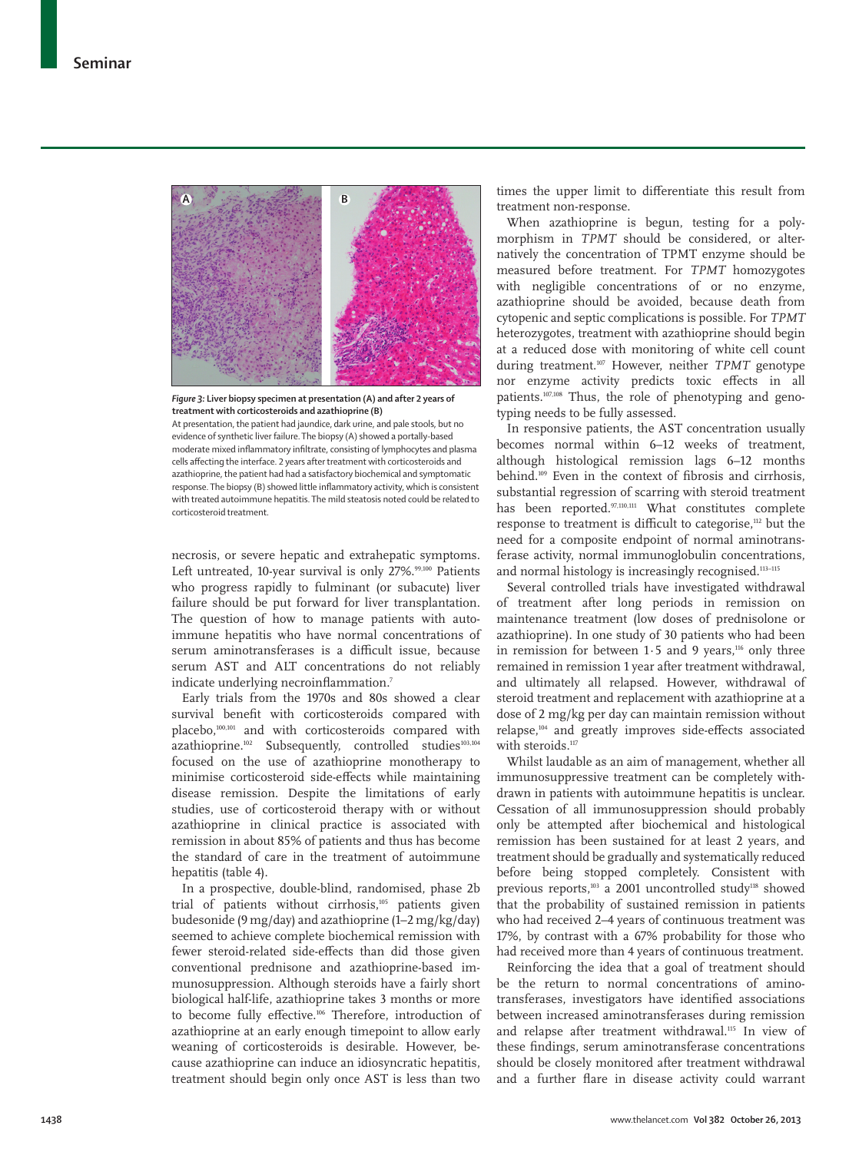

*Figure 3:* **Liver biopsy specimen at presentation (A) and after 2 years of treatment with corticosteroids and azathioprine (B)**

At presentation, the patient had jaundice, dark urine, and pale stools, but no evidence of synthetic liver failure. The biopsy (A) showed a portally-based moderate mixed inflammatory infiltrate, consisting of lymphocytes and plasma cells affecting the interface. 2 years after treatment with corticosteroids and azathioprine, the patient had had a satisfactory biochemical and symptomatic response. The biopsy (B) showed little inflammatory activity, which is consistent with treated autoimmune hepatitis. The mild steatosis noted could be related to corticosteroid treatment.

necrosis, or severe hepatic and extrahepatic symptoms. Left untreated, 10-year survival is only 27%.<sup>99,100</sup> Patients who progress rapidly to fulminant (or subacute) liver failure should be put forward for liver transplantation. The question of how to manage patients with autoimmune hepatitis who have normal concentrations of serum aminotransferases is a difficult issue, because serum AST and ALT concentrations do not reliably indicate underlying necroinflammation.<sup>7</sup>

Early trials from the 1970s and 80s showed a clear survival benefit with corticosteroids compared with placebo,100,101 and with corticosteroids compared with azathioprine.<sup>102</sup> Subsequently, controlled studies<sup>103,104</sup> focused on the use of azathioprine monotherapy to minimise corticosteroid side-effects while maintaining disease remission. Despite the limitations of early studies, use of corticosteroid therapy with or without azathioprine in clinical practice is associated with remission in about 85% of patients and thus has become the standard of care in the treatment of autoimmune hepatitis (table 4).

In a prospective, double-blind, randomised, phase 2b trial of patients without cirrhosis,<sup>105</sup> patients given budesonide (9 mg/day) and azathioprine (1–2 mg/kg/day) seemed to achieve complete biochemical remission with fewer steroid-related side-effects than did those given conventional prednisone and azathioprine-based immunosuppression. Although steroids have a fairly short biological half-life, azathioprine takes 3 months or more to become fully effective.<sup>106</sup> Therefore, introduction of azathioprine at an early enough timepoint to allow early weaning of corticosteroids is desirable. However, because azathioprine can induce an idiosyncratic hepatitis, treatment should begin only once AST is less than two

times the upper limit to differentiate this result from treatment non-response.

When azathioprine is begun, testing for a polymorphism in *TPMT* should be considered, or alternatively the concentration of TPMT enzyme should be measured before treatment. For *TPMT* homozygotes with negligible concentrations of or no enzyme, azathioprine should be avoided, because death from cytopenic and septic complications is possible. For *TPMT* heterozygotes, treatment with azathioprine should begin at a reduced dose with monitoring of white cell count during treatment.107 However, neither *TPMT* genotype nor enzyme activity predicts toxic effects in all patients.107,108 Thus, the role of phenotyping and genotyping needs to be fully assessed.

In responsive patients, the AST concentration usually becomes normal within 6–12 weeks of treatment, although histological remission lags 6–12 months behind.<sup>109</sup> Even in the context of fibrosis and cirrhosis, substantial regression of scarring with steroid treatment has been reported.97,110,111 What constitutes complete response to treatment is difficult to categorise,<sup>112</sup> but the need for a composite endpoint of normal aminotransferase activity, normal immunoglobulin concentrations, and normal histology is increasingly recognised.<sup>113-115</sup>

Several controlled trials have investigated withdrawal of treatment after long periods in remission on maintenance treatment (low doses of prednisolone or azathioprine). In one study of 30 patients who had been in remission for between  $1.5$  and 9 years,<sup>116</sup> only three remained in remission 1 year after treatment withdrawal, and ultimately all relapsed. However, withdrawal of steroid treatment and replacement with azathioprine at a dose of 2 mg/kg per day can maintain remission without relapse,<sup>104</sup> and greatly improves side-effects associated with steroids.<sup>117</sup>

Whilst laudable as an aim of management, whether all immunosuppressive treatment can be completely withdrawn in patients with autoimmune hepatitis is unclear. Cessation of all immunosuppression should probably only be attempted after biochemical and histological remission has been sustained for at least 2 years, and treatment should be gradually and systematically reduced before being stopped completely. Consistent with previous reports,<sup>103</sup> a 2001 uncontrolled study<sup>118</sup> showed that the probability of sustained remission in patients who had received 2–4 years of continuous treatment was 17%, by contrast with a 67% probability for those who had received more than 4 years of continuous treatment.

Reinforcing the idea that a goal of treatment should be the return to normal concentrations of aminotransferases, investigators have identified associations between increased aminotransferases during remission and relapse after treatment withdrawal.115 In view of these findings, serum aminotransferase concentrations should be closely monitored after treatment withdrawal and a further flare in disease activity could warrant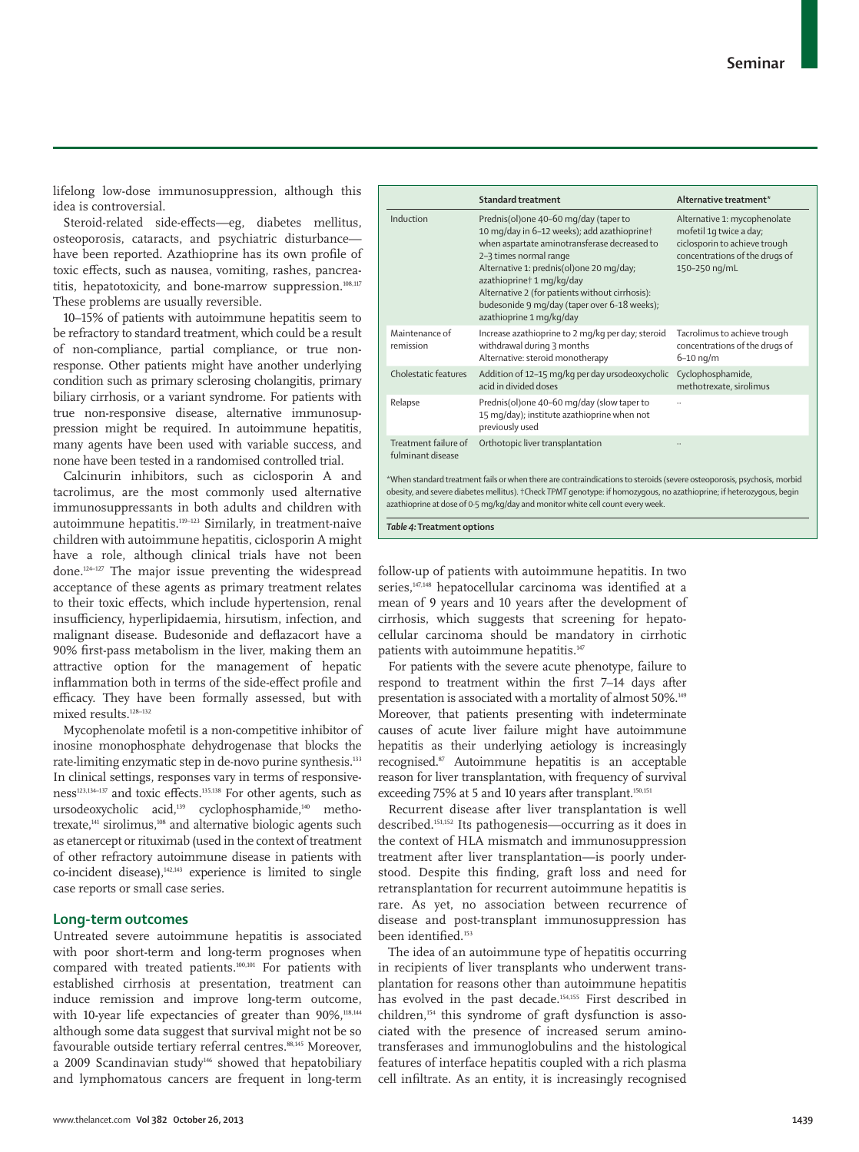lifelong low-dose immunosuppression, although this idea is controversial.

Steroid-related side-effects—eg, diabetes mellitus, osteoporosis, cataracts, and psychiatric disturbance have been reported. Azathioprine has its own profile of toxic effects, such as nausea, vomiting, rashes, pancreatitis, hepatotoxicity, and bone-marrow suppression.<sup>108,117</sup> These problems are usually reversible.

10–15% of patients with autoimmune hepatitis seem to be refractory to standard treatment, which could be a result of non-compliance, partial compliance, or true nonresponse. Other patients might have another underlying condition such as primary sclerosing cholangitis, primary biliary cirrhosis, or a variant syndrome. For patients with true non-responsive disease, alternative immunosuppression might be required. In autoimmune hepatitis, many agents have been used with variable success, and none have been tested in a randomised controlled trial.

Calcinurin inhibitors, such as ciclosporin A and tacrolimus, are the most commonly used alternative immunosuppressants in both adults and children with autoimmune hepatitis.119–123 Similarly, in treatment-naive children with autoimmune hepatitis, ciclosporin A might have a role, although clinical trials have not been done.124–127 The major issue preventing the widespread acceptance of these agents as primary treatment relates to their toxic effects, which include hypertension, renal insufficiency, hyperlipidaemia, hirsutism, infection, and malignant disease. Budesonide and deflazacort have a 90% first-pass metabolism in the liver, making them an attractive option for the management of hepatic inflammation both in terms of the side-effect profile and efficacy. They have been formally assessed, but with mixed results.128–132

Mycophenolate mofetil is a non-competitive inhibitor of inosine monophosphate dehydrogenase that blocks the rate-limiting enzymatic step in de-novo purine synthesis.<sup>133</sup> In clinical settings, responses vary in terms of responsive $ness<sup>123,134-137</sup>$  and toxic effects.<sup>135,138</sup> For other agents, such as ursode oxycholic acid,<sup>139</sup> cyclophos phamide,<sup>140</sup> methotrexate,<sup>44</sup> sirolimus,<sup>108</sup> and alternative biologic agents such as etanercept or rituximab (used in the context of treatment of other refractory autoimmune disease in patients with  $co$ -incident disease), $142,143$  experience is limited to single case reports or small case series.

# **Long-term outcomes**

Untreated severe autoimmune hepatitis is associated with poor short-term and long-term prognoses when compared with treated patients.100,101 For patients with established cirrhosis at presentation, treatment can induce remission and improve long-term outcome, with 10-year life expectancies of greater than 90%,<sup>118,144</sup> although some data suggest that survival might not be so favourable outside tertiary referral centres.<sup>88,145</sup> Moreover, a 2009 Scandinavian study<sup>146</sup> showed that hepatobiliary and lymphomatous cancers are frequent in long-term

|                                           | <b>Standard treatment</b>                                                                                                                                                                                                                                                                                                                                              | Alternative treatment*                                                                                                                      |
|-------------------------------------------|------------------------------------------------------------------------------------------------------------------------------------------------------------------------------------------------------------------------------------------------------------------------------------------------------------------------------------------------------------------------|---------------------------------------------------------------------------------------------------------------------------------------------|
| Induction                                 | Prednis(ol)one 40-60 mg/day (taper to<br>10 mg/day in 6-12 weeks); add azathioprine†<br>when aspartate aminotransferase decreased to<br>2-3 times normal range<br>Alternative 1: prednis(ol)one 20 mg/day;<br>azathioprine† 1 mg/kg/day<br>Alternative 2 (for patients without cirrhosis):<br>budesonide 9 mg/day (taper over 6-18 weeks);<br>azathioprine 1 mg/kg/day | Alternative 1: mycophenolate<br>mofetil 1q twice a day;<br>ciclosporin to achieve trough<br>concentrations of the drugs of<br>150-250 ng/mL |
| Maintenance of<br>remission               | Increase azathioprine to 2 mg/kg per day; steroid<br>withdrawal during 3 months<br>Alternative: steroid monotherapy                                                                                                                                                                                                                                                    | Tacrolimus to achieve trough<br>concentrations of the drugs of<br>$6 - 10$ ng/m                                                             |
| <b>Cholestatic features</b>               | Addition of 12-15 mg/kg per day ursodeoxycholic<br>acid in divided doses                                                                                                                                                                                                                                                                                               | Cyclophosphamide,<br>methotrexate, sirolimus                                                                                                |
| Relapse                                   | Prednis(ol)one 40-60 mg/day (slow taper to<br>15 mg/day); institute azathioprine when not<br>previously used                                                                                                                                                                                                                                                           |                                                                                                                                             |
| Treatment failure of<br>fulminant disease | Orthotopic liver transplantation                                                                                                                                                                                                                                                                                                                                       |                                                                                                                                             |
|                                           | *When standard treatment fails or when there are contraindications to steroids (severe osteoporosis, psychosis, morbid<br>obesity, and severe diabetes mellitus). †Check TPMT genotype: if homozygous, no azathioprine; if heterozygous, begin<br>azathioprine at dose of 0.5 mg/kg/day and monitor white cell count every week.                                       |                                                                                                                                             |

*Table 4:* **Treatment options**

follow-up of patients with autoimmune hepatitis. In two series,<sup>147,148</sup> hepatocellular carcinoma was identified at a mean of 9 years and 10 years after the development of cirrhosis, which suggests that screening for hepatocellular carcinoma should be mandatory in cirrhotic patients with autoimmune hepatitis.<sup>147</sup>

For patients with the severe acute phenotype, failure to respond to treatment within the first 7-14 days after presentation is associated with a mortality of almost 50%.149 Moreover, that patients presenting with indeterminate causes of acute liver failure might have autoimmune hepatitis as their underlying aetiology is increasingly recognised.87 Autoimmune hepatitis is an acceptable reason for liver transplantation, with frequency of survival exceeding 75% at 5 and 10 years after transplant.<sup>150,151</sup>

Recurrent disease after liver transplantation is well described.151,152 Its pathogenesis—occurring as it does in the context of HLA mismatch and immunosuppression treatment after liver transplantation—is poorly understood. Despite this finding, graft loss and need for retransplantation for recurrent autoimmune hepatitis is rare. As yet, no association between recurrence of disease and post-transplant immunosuppression has been identified.<sup>153</sup>

The idea of an autoimmune type of hepatitis occurring in recipients of liver transplants who underwent transplantation for reasons other than autoimmune hepatitis has evolved in the past decade.<sup>154,155</sup> First described in children,154 this syndrome of graft dysfunction is associated with the presence of increased serum aminotransferases and immunoglobulins and the histological features of interface hepatitis coupled with a rich plasma cell infiltrate. As an entity, it is increasingly recognised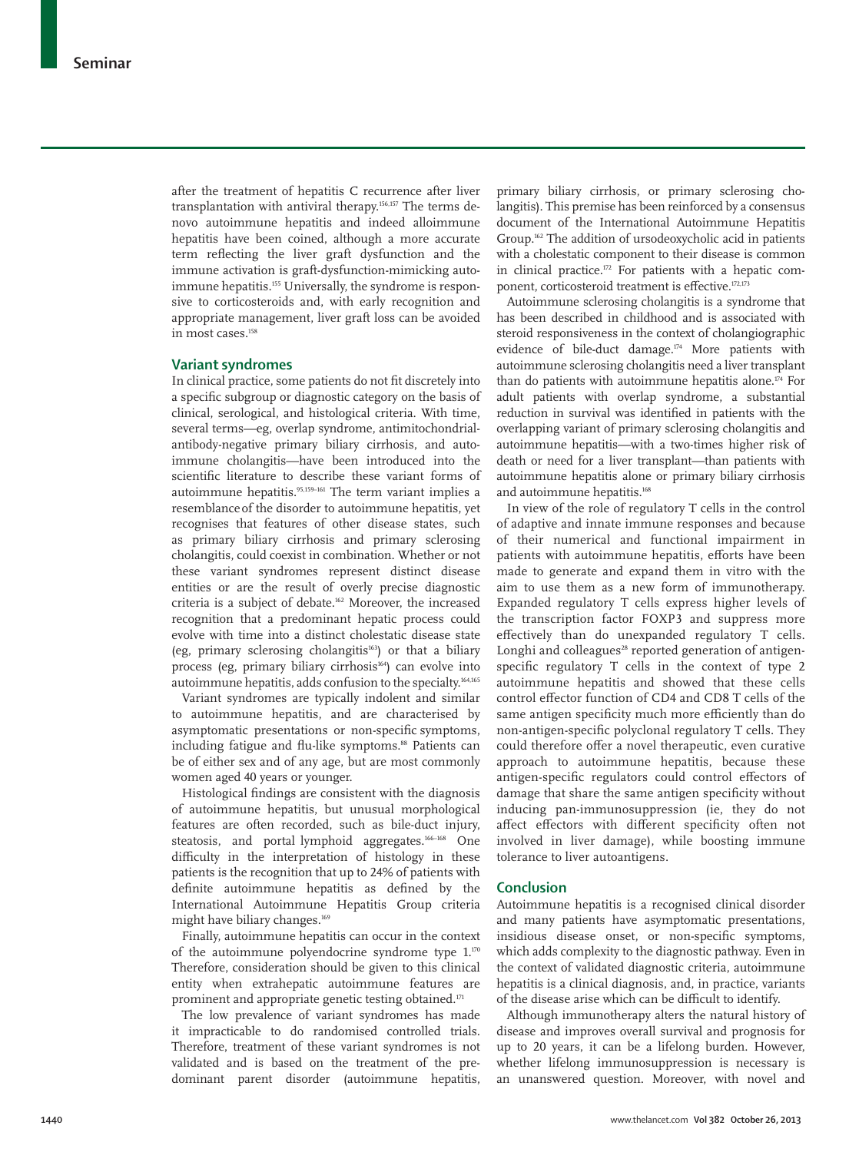after the treatment of hepatitis C recurrence after liver transplantation with antiviral therapy.156,157 The terms denovo autoimmune hepatitis and indeed alloimmune hepatitis have been coined, although a more accurate term reflecting the liver graft dysfunction and the immune activation is graft-dysfunction-mimicking autoimmune hepatitis.<sup>155</sup> Universally, the syndrome is responsive to corticosteroids and, with early recognition and appropriate management, liver graft loss can be avoided in most cases.<sup>158</sup>

#### **Variant syndromes**

In clinical practice, some patients do not fit discretely into a specific subgroup or diagnostic category on the basis of clinical, serological, and histological criteria. With time, several terms-eg, overlap syndrome, antimitochondrialantibody-negative primary biliary cirrhosis, and autoimmune cholangitis—have been introduced into the scientific literature to describe these variant forms of autoimmune hepatitis.<sup>95,159-161</sup> The term variant implies a resemblance of the disorder to autoimmune hepatitis, yet recognises that features of other disease states, such as primary biliary cirrhosis and primary sclerosing cholangitis, could coexist in combination. Whether or not these variant syndromes represent distinct disease entities or are the result of overly precise diagnostic criteria is a subject of debate.162 Moreover, the increased recognition that a predominant hepatic process could evolve with time into a distinct cholestatic disease state (eg, primary sclerosing cholangitis<sup>163</sup>) or that a biliary process (eg, primary biliary cirrhosis<sup>164</sup>) can evolve into autoimmune hepatitis, adds confusion to the specialty.164,165

Variant syndromes are typically indolent and similar to autoimmune hepatitis, and are characterised by asymptomatic presentations or non-specific symptoms, including fatigue and flu-like symptoms.<sup>88</sup> Patients can be of either sex and of any age, but are most commonly women aged 40 years or younger.

Histological findings are consistent with the diagnosis of autoimmune hepatitis, but unusual morphological features are often recorded, such as bile-duct injury, steatosis, and portal lymphoid aggregates.<sup>166–168</sup> One difficulty in the interpretation of histology in these patients is the recognition that up to 24% of patients with definite autoimmune hepatitis as defined by the International Autoimmune Hepatitis Group criteria might have biliary changes.<sup>169</sup>

Finally, autoimmune hepatitis can occur in the context of the autoimmune polyendocrine syndrome type 1.<sup>170</sup> Therefore, consideration should be given to this clinical entity when extrahepatic autoimmune features are prominent and appropriate genetic testing obtained.<sup>171</sup>

The low prevalence of variant syndromes has made it impracticable to do randomised controlled trials. Therefore, treatment of these variant syndromes is not validated and is based on the treatment of the predominant parent disorder (autoimmune hepatitis,

primary biliary cirrhosis, or primary sclerosing cholangitis). This premise has been reinforced by a consensus document of the International Autoimmune Hepatitis Group.<sup>162</sup> The addition of ursodeoxycholic acid in patients with a cholestatic component to their disease is common in clinical practice. $172$  For patients with a hepatic component, corticosteroid treatment is effective.<sup>172,173</sup>

Autoimmune sclerosing cholangitis is a syndrome that has been described in childhood and is associated with steroid responsiveness in the context of cholangiographic evidence of bile-duct damage.174 More patients with autoimmune sclerosing cholangitis need a liver transplant than do patients with autoimmune hepatitis alone.<sup> $174$ </sup> For adult patients with overlap syndrome, a substantial reduction in survival was identified in patients with the overlapping variant of primary sclerosing cholangitis and autoimmune hepatitis—with a two-times higher risk of death or need for a liver transplant—than patients with autoimmune hepatitis alone or primary biliary cirrhosis and autoimmune hepatitis.<sup>168</sup>

In view of the role of regulatory T cells in the control of adaptive and innate immune responses and because of their numerical and functional impairment in patients with autoimmune hepatitis, efforts have been made to generate and expand them in vitro with the aim to use them as a new form of immunotherapy. Expanded regulatory T cells express higher levels of the transcription factor FOXP3 and suppress more effectively than do unexpanded regulatory T cells. Longhi and colleagues<sup>28</sup> reported generation of antigenspecific regulatory T cells in the context of type 2 autoimmune hepatitis and showed that these cells control effector function of CD4 and CD8 T cells of the same antigen specificity much more efficiently than do non-antigen-specific polyclonal regulatory T cells. They could therefore offer a novel therapeutic, even curative approach to autoimmune hepatitis, because these antigen-specific regulators could control effectors of damage that share the same antigen specificity without inducing pan-immunosuppression (ie, they do not affect effectors with different specificity often not involved in liver damage), while boosting immune tolerance to liver autoantigens.

#### **Conclusion**

Autoimmune hepatitis is a recognised clinical disorder and many patients have asymptomatic presentations, insidious disease onset, or non-specific symptoms, which adds complexity to the diagnostic pathway. Even in the context of validated diagnostic criteria, autoimmune hepatitis is a clinical diagnosis, and, in practice, variants of the disease arise which can be difficult to identify.

Although immunotherapy alters the natural history of disease and improves overall survival and prognosis for up to 20 years, it can be a lifelong burden. However, whether lifelong immunosuppression is necessary is an unanswered question. Moreover, with novel and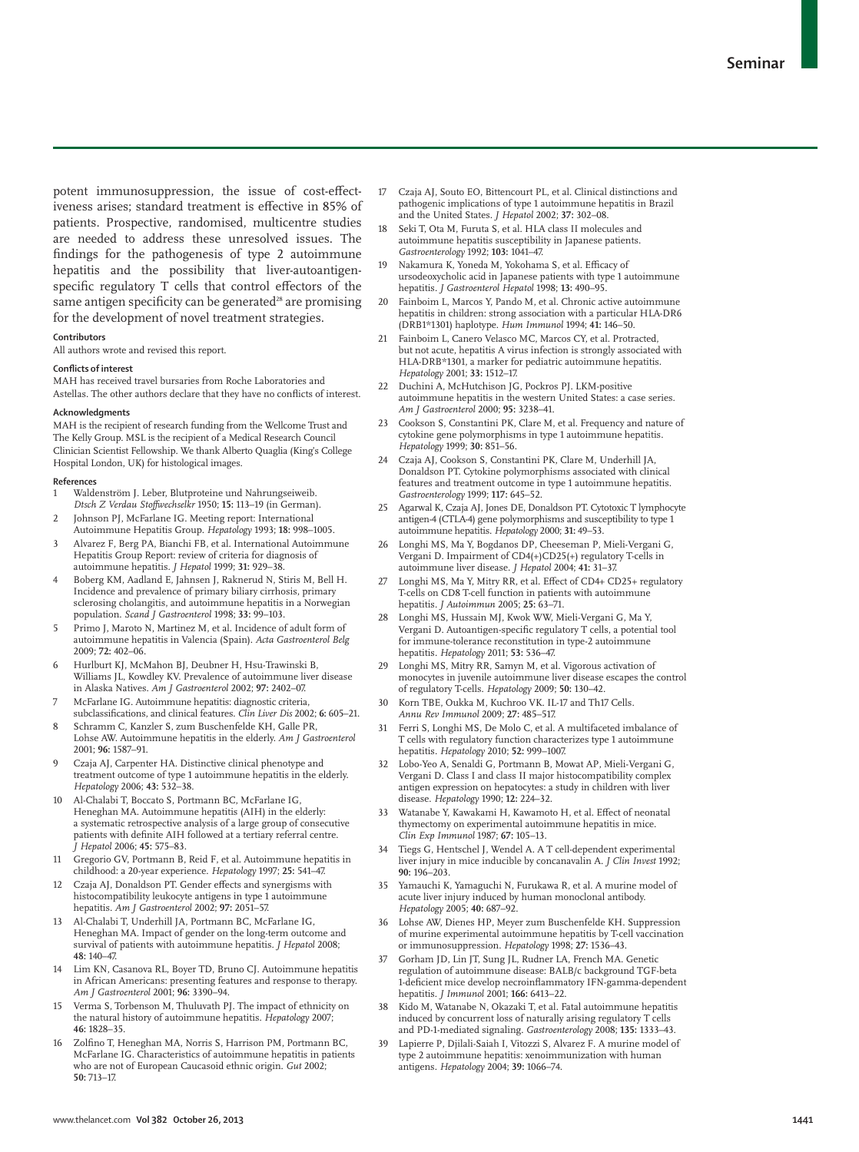potent immunosuppression, the issue of cost-effectiveness arises; standard treatment is effective in 85% of patients. Prospective, randomised, multicentre studies are needed to address these unresolved issues. The findings for the pathogenesis of type 2 autoimmune hepatitis and the possibility that liver-autoantigenspecific regulatory T cells that control effectors of the same antigen specificity can be generated<sup>28</sup> are promising for the development of novel treatment strategies.

#### **Contributors**

All authors wrote and revised this report.

#### **Conflicts of interest**

MAH has received travel bursaries from Roche Laboratories and Astellas. The other authors declare that they have no conflicts of interest.

#### **Acknowledgments**

MAH is the recipient of research funding from the Wellcome Trust and The Kelly Group. MSL is the recipient of a Medical Research Council Clinician Scientist Fellowship. We thank Alberto Quaglia (King's College Hospital London, UK) for histological images.

#### **References**

- 1 Waldenström J. Leber, Blutproteine und Nahrungseiweib. *Dtsch Z Verdau Stoff wechselkr* 1950; **15:** 113–19 (in German).
- Johnson PJ, McFarlane IG. Meeting report: International Autoimmune Hepatitis Group. *Hepatology* 1993; **18:** 998–1005.
- 3 Alvarez F, Berg PA, Bianchi FB, et al. International Autoimmune Hepatitis Group Report: review of criteria for diagnosis of autoimmune hepatitis. *J Hepatol* 1999; **31:** 929–38.
- 4 Boberg KM, Aadland E, Jahnsen J, Raknerud N, Stiris M, Bell H. Incidence and prevalence of primary biliary cirrhosis, primary sclerosing cholangitis, and autoimmune hepatitis in a Norwegian population. *Scand J Gastroenterol* 1998; **33:** 99–103.
- 5 Primo J, Maroto N, Martinez M, et al. Incidence of adult form of autoimmune hepatitis in Valencia (Spain). *Acta Gastroenterol Belg* 2009; **72:** 402–06.
- 6 Hurlburt KJ, McMahon BJ, Deubner H, Hsu-Trawinski B, Williams JL, Kowdley KV. Prevalence of autoimmune liver disease in Alaska Natives. *Am J Gastroenterol* 2002; **97:** 2402–07.
- 7 McFarlane IG. Autoimmune hepatitis: diagnostic criteria, subclassifications, and clinical features. *Clin Liver Dis* 2002; 6: 605-21.
- 8 Schramm C, Kanzler S, zum Buschenfelde KH, Galle PR, Lohse AW. Autoimmune hepatitis in the elderly. *Am J Gastroenterol* 2001; **96:** 1587–91.
- Czaja AJ, Carpenter HA. Distinctive clinical phenotype and treatment outcome of type 1 autoimmune hepatitis in the elderly. *Hepatology* 2006; **43:** 532–38.
- 10 Al-Chalabi T, Boccato S, Portmann BC, McFarlane IG, Heneghan MA. Autoimmune hepatitis (AIH) in the elderly: a systematic retrospective analysis of a large group of consecutive patients with definite AIH followed at a tertiary referral centre. *J Hepatol* 2006; **45:** 575–83.
- 11 Gregorio GV, Portmann B, Reid F, et al. Autoimmune hepatitis in childhood: a 20-year experience. *Hepatology* 1997; **25:** 541–47.
- 12 Czaja AJ, Donaldson PT. Gender effects and synergisms with histocompatibility leukocyte antigens in type 1 autoimmune hepatitis. *Am J Gastroenterol* 2002; **97:** 2051–57.
- 13 Al-Chalabi T, Underhill JA, Portmann BC, McFarlane IG, Heneghan MA. Impact of gender on the long-term outcome and survival of patients with autoimmune hepatitis. *J Hepatol* 2008; **48:** 140–47.
- 14 Lim KN, Casanova RL, Boyer TD, Bruno CJ. Autoimmune hepatitis in African Americans: presenting features and response to therapy. *Am J Gastroenterol* 2001; **96:** 3390–94.
- Verma S, Torbenson M, Thuluvath PJ. The impact of ethnicity on the natural history of autoimmune hepatitis. *Hepatology* 2007; **46:** 1828–35.
- 16 Zolfino T, Heneghan MA, Norris S, Harrison PM, Portmann BC, McFarlane IG. Characteristics of autoimmune hepatitis in patients who are not of European Caucasoid ethnic origin. *Gut* 2002; **50:** 713–17.
- 17 Czaja AJ, Souto EO, Bittencourt PL, et al. Clinical distinctions and pathogenic implications of type 1 autoimmune hepatitis in Brazil and the United States. *J Hepatol* 2002; **37:** 302–08.
- 18 Seki T, Ota M, Furuta S, et al. HLA class II molecules and autoimmune hepatitis susceptibility in Japanese patients. *Gastroenterology* 1992; **103:** 1041–47.
- 19 Nakamura K, Yoneda M, Yokohama S, et al. Efficacy of ursodeoxycholic acid in Japanese patients with type 1 autoimmune hepatitis. *J Gastroenterol Hepatol* 1998; **13:** 490–95.
- 20 Fainboim L, Marcos Y, Pando M, et al. Chronic active autoimmune hepatitis in children: strong association with a particular HLA-DR6 (DRB1\*1301) haplotype. *Hum Immunol* 1994; **41:** 146–50.
- Fainboim L, Canero Velasco MC, Marcos CY, et al. Protracted, but not acute, hepatitis A virus infection is strongly associated with HLA-DRB\*1301, a marker for pediatric autoimmune hepatitis. *Hepatology* 2001; **33:** 1512–17.
- 22 Duchini A, McHutchison JG, Pockros PJ. LKM-positive autoimmune hepatitis in the western United States: a case series. *Am J Gastroenterol* 2000; **95:** 3238–41.
- 23 Cookson S, Constantini PK, Clare M, et al. Frequency and nature of cytokine gene polymorphisms in type 1 autoimmune hepatitis. *Hepatology* 1999; **30:** 851–56.
- 24 Czaja AJ, Cookson S, Constantini PK, Clare M, Underhill JA, Donaldson PT. Cytokine polymorphisms associated with clinical features and treatment outcome in type 1 autoimmune hepatitis. *Gastroenterology* 1999; **117:** 645–52.
- 25 Agarwal K, Czaja AJ, Jones DE, Donaldson PT. Cytotoxic T lymphocyte antigen-4 (CTLA-4) gene polymorphisms and susceptibility to type 1 autoimmune hepatitis. *Hepatology* 2000; **31:** 49–53.
- Longhi MS, Ma Y, Bogdanos DP, Cheeseman P, Mieli-Vergani G, Vergani D. Impairment of CD4(+)CD25(+) regulatory T-cells in autoimmune liver disease. *J Hepatol* 2004; **41:** 31–37.
- Longhi MS, Ma Y, Mitry RR, et al. Effect of CD4+ CD25+ regulatory T-cells on CD8 T-cell function in patients with autoimmune hepatitis. *J Autoimmun* 2005; **25:** 63–71.
- Longhi MS, Hussain MJ, Kwok WW, Mieli-Vergani G, Ma Y, Vergani D. Autoantigen-specific regulatory T cells, a potential tool for immune-tolerance reconstitution in type-2 autoimmune hepatitis. *Hepatology* 2011; **53:** 536–47.
- 29 Longhi MS, Mitry RR, Samyn M, et al. Vigorous activation of monocytes in juvenile autoimmune liver disease escapes the control of regulatory T-cells. *Hepatology* 2009; **50:** 130–42.
- Korn TBE, Oukka M, Kuchroo VK. IL-17 and Th17 Cells. *Annu Rev Immunol* 2009; **27:** 485–517.
- 31 Ferri S, Longhi MS, De Molo C, et al. A multifaceted imbalance of T cells with regulatory function characterizes type 1 autoimmune hepatitis. *Hepatology* 2010; **52:** 999–1007.
- 32 Lobo-Yeo A, Senaldi G, Portmann B, Mowat AP, Mieli-Vergani G, Vergani D. Class I and class II major histocompatibility complex antigen expression on hepatocytes: a study in children with liver disease. *Hepatology* 1990; **12:** 224–32.
- 33 Watanabe Y, Kawakami H, Kawamoto H, et al. Effect of neonatal thymectomy on experimental autoimmune hepatitis in mice. *Clin Exp Immunol* 1987; **67:** 105–13.
- 34 Tiegs G, Hentschel J, Wendel A. A T cell-dependent experimental liver injury in mice inducible by concanavalin A. *J Clin Invest* 1992; **90:** 196–203.
- 35 Yamauchi K, Yamaguchi N, Furukawa R, et al. A murine model of acute liver injury induced by human monoclonal antibody. *Hepatology* 2005; **40:** 687–92.
- 36 Lohse AW, Dienes HP, Meyer zum Buschenfelde KH. Suppression of murine experimental autoimmune hepatitis by T-cell vaccination or immunosuppression. *Hepatology* 1998; **27:** 1536–43.
- 37 Gorham JD, Lin JT, Sung JL, Rudner LA, French MA. Genetic regulation of autoimmune disease: BALB/c background TGF-beta 1-deficient mice develop necroinflammatory IFN-gamma-dependent hepatitis. *J Immunol* 2001; **166:** 6413–22.
- Kido M, Watanabe N, Okazaki T, et al. Fatal autoimmune hepatitis induced by concurrent loss of naturally arising regulatory T cells and PD-1-mediated signaling. *Gastroenterology* 2008; **135:** 1333–43.
- Lapierre P, Djilali-Saiah I, Vitozzi S, Alvarez F. A murine model of type 2 autoimmune hepatitis: xenoimmunization with human antigens. *Hepatology* 2004; **39:** 1066–74.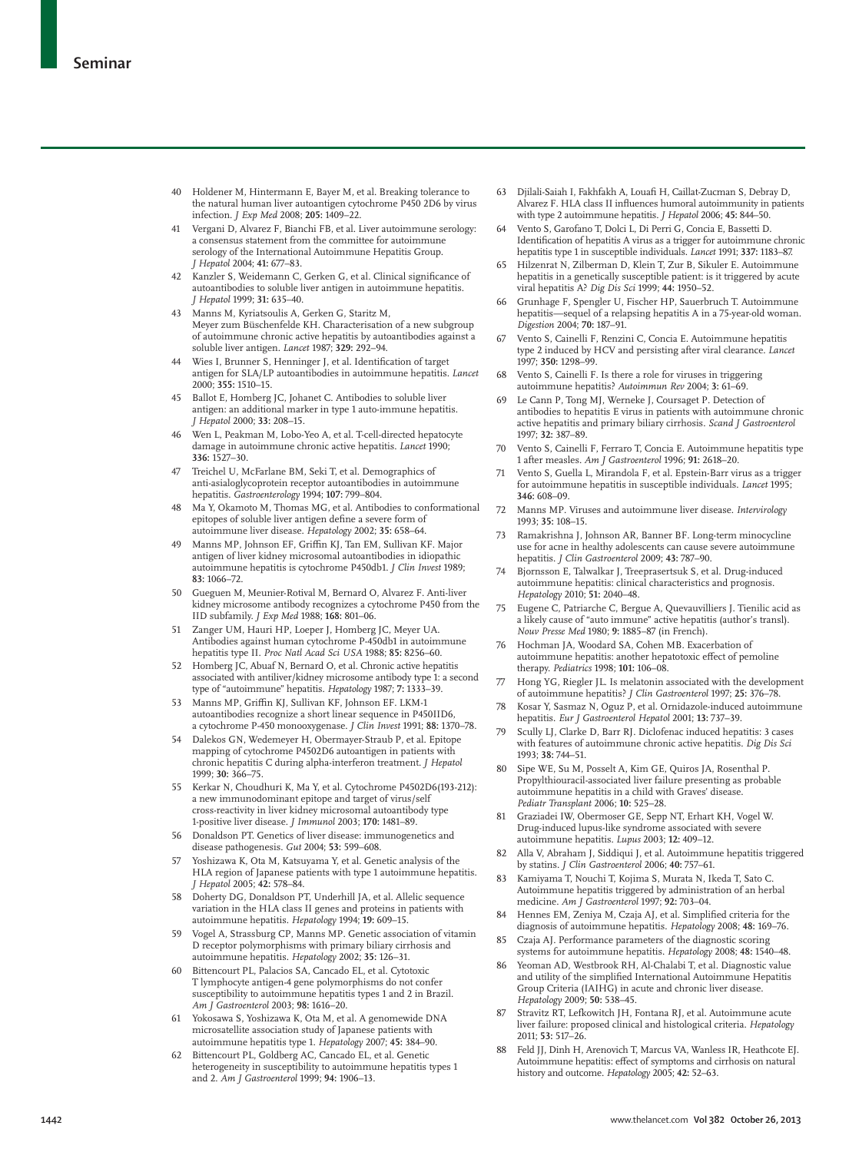- 40 Holdener M, Hintermann E, Bayer M, et al. Breaking tolerance to the natural human liver autoantigen cytochrome P450 2D6 by virus infection. *J Exp Med* 2008; **205:** 1409–22.
- Vergani D, Alvarez F, Bianchi FB, et al. Liver autoimmune serology: a consensus statement from the committee for autoimmune serology of the International Autoimmune Hepatitis Group. *J Hepatol* 2004; **41:** 677–83.
- Kanzler S, Weidemann C, Gerken G, et al. Clinical significance of autoantibodies to soluble liver antigen in autoimmune hepatitis. *J Hepatol* 1999; **31:** 635–40.
- 43 Manns M, Kyriatsoulis A, Gerken G, Staritz M, Meyer zum Büschenfelde KH. Characterisation of a new subgroup of autoimmune chronic active hepatitis by autoantibodies against a soluble liver antigen. *Lancet* 1987; **329:** 292–94.
- Wies I, Brunner S, Henninger J, et al. Identification of target antigen for SLA/LP autoantibodies in autoimmune hepatitis. *Lancet* 2000; **355:** 1510–15.
- 45 Ballot E, Homberg JC, Johanet C. Antibodies to soluble liver antigen: an additional marker in type 1 auto-immune hepatitis. *J Hepatol* 2000; **33:** 208–15.
- 46 Wen L, Peakman M, Lobo-Yeo A, et al. T-cell-directed hepatocyte damage in autoimmune chronic active hepatitis. *Lancet* 1990; **336:** 1527–30.
- 47 Treichel U, McFarlane BM, Seki T, et al. Demographics of anti-asialoglycoprotein receptor autoantibodies in autoimmune hepatitis. *Gastroenterology* 1994; **107:** 799–804.
- 48 Ma Y, Okamoto M, Thomas MG, et al. Antibodies to conformational epitopes of soluble liver antigen define a severe form of autoimmune liver disease. *Hepatology* 2002; **35:** 658–64.
- Manns MP, Johnson EF, Griffin KJ, Tan EM, Sullivan KF. Major antigen of liver kidney microsomal autoantibodies in idiopathic autoimmune hepatitis is cytochrome P450db1. *J Clin Invest* 1989; **83:** 1066–72.
- 50 Gueguen M, Meunier-Rotival M, Bernard O, Alvarez F. Anti-liver kidney microsome antibody recognizes a cytochrome P450 from the IID subfamily. *J Exp Med* 1988; **168:** 801–06.
- Zanger UM, Hauri HP, Loeper J, Homberg JC, Meyer UA. Antibodies against human cytochrome P-450db1 in autoimmune hepatitis type II. *Proc Natl Acad Sci USA* 1988; **85:** 8256–60.
- 52 Homberg JC, Abuaf N, Bernard O, et al. Chronic active hepatitis associated with antiliver/kidney microsome antibody type 1: a second type of "autoimmune" hepatitis. *Hepatology* 1987; **7:** 1333–39.
- 53 Manns MP, Griffin KJ, Sullivan KF, Johnson EF. LKM-1 autoantibodies recognize a short linear sequence in P450IID6, a cytochrome P-450 monooxygenase. *J Clin Invest* 1991; **88:** 1370–78.
- 54 Dalekos GN, Wedemeyer H, Obermayer-Straub P, et al. Epitope mapping of cytochrome P4502D6 autoantigen in patients with chronic hepatitis C during alpha-interferon treatment. *J Hepatol* 1999; **30:** 366–75.
- 55 Kerkar N, Choudhuri K, Ma Y, et al. Cytochrome P4502D6(193-212): a new immunodominant epitope and target of virus/self cross-reactivity in liver kidney microsomal autoantibody type 1-positive liver disease. *J Immunol* 2003; **170:** 1481–89.
- 56 Donaldson PT. Genetics of liver disease: immunogenetics and disease pathogenesis. *Gut* 2004; **53:** 599–608.
- 57 Yoshizawa K, Ota M, Katsuyama Y, et al. Genetic analysis of the HLA region of Japanese patients with type 1 autoimmune hepatitis. *J Hepatol* 2005; **42:** 578–84.
- 58 Doherty DG, Donaldson PT, Underhill JA, et al. Allelic sequence variation in the HLA class II genes and proteins in patients with autoimmune hepatitis. *Hepatology* 1994; **19:** 609–15.
- Vogel A, Strassburg CP, Manns MP. Genetic association of vitamin D receptor polymorphisms with primary biliary cirrhosis and autoimmune hepatitis. *Hepatology* 2002; **35:** 126–31.
- 60 Bittencourt PL, Palacios SA, Cancado EL, et al. Cytotoxic T lymphocyte antigen-4 gene polymorphisms do not confer susceptibility to autoimmune hepatitis types 1 and 2 in Brazil. *Am J Gastroenterol* 2003; **98:** 1616–20.
- 61 Yokosawa S, Yoshizawa K, Ota M, et al. A genomewide DNA microsatellite association study of Japanese patients with autoimmune hepatitis type 1. *Hepatology* 2007; **45:** 384–90.
- Bittencourt PL, Goldberg AC, Cancado EL, et al. Genetic heterogeneity in susceptibility to autoimmune hepatitis types 1 and 2. *Am J Gastroenterol* 1999; **94:** 1906–13.
- 63 Djilali-Saiah I, Fakhfakh A, Louafi H, Caillat-Zucman S, Debray D, Alvarez F. HLA class II influences humoral autoimmunity in patients with type 2 autoimmune hepatitis. *J Hepatol* 2006; **45:** 844–50.
- Vento S, Garofano T, Dolci L, Di Perri G, Concia E, Bassetti D. Identification of hepatitis A virus as a trigger for autoimmune chronic hepatitis type 1 in susceptible individuals. *Lancet* 1991; **337:** 1183–87.
- 65 Hilzenrat N, Zilberman D, Klein T, Zur B, Sikuler E. Autoimmune hepatitis in a genetically susceptible patient: is it triggered by acute viral hepatitis A? *Dig Dis Sci* 1999; **44:** 1950–52.
- 66 Grunhage F, Spengler U, Fischer HP, Sauerbruch T. Autoimmune hepatitis—sequel of a relapsing hepatitis A in a 75-year-old woman. *Digestion* 2004; **70:** 187–91.
- 67 Vento S, Cainelli F, Renzini C, Concia E. Autoimmune hepatitis type 2 induced by HCV and persisting after viral clearance. *Lancet* 1997; **350:** 1298–99.
- 68 Vento S, Cainelli F. Is there a role for viruses in triggering autoimmune hepatitis? *Autoimmun Rev* 2004; **3:** 61–69.
- 69 Le Cann P, Tong MJ, Werneke J, Coursaget P. Detection of antibodies to hepatitis E virus in patients with autoimmune chronic active hepatitis and primary biliary cirrhosis. *Scand J Gastroenterol* 1997; **32:** 387–89.
- 70 Vento S, Cainelli F, Ferraro T, Concia E. Autoimmune hepatitis type 1 after measles. *Am J Gastroenterol* 1996; **91:** 2618–20.
- Vento S, Guella L, Mirandola F, et al. Epstein-Barr virus as a trigger for autoimmune hepatitis in susceptible individuals. *Lancet* 1995; **346:** 608–09.
- 72 Manns MP. Viruses and autoimmune liver disease. *Intervirology* 1993; **35:** 108–15.
- 73 Ramakrishna J, Johnson AR, Banner BF. Long-term minocycline use for acne in healthy adolescents can cause severe autoimmune hepatitis. *J Clin Gastroenterol* 2009; **43:** 787–90.
- 74 Bjornsson E, Talwalkar J, Treeprasertsuk S, et al. Drug-induced autoimmune hepatitis: clinical characteristics and prognosis. *Hepatology* 2010; **51:** 2040–48.
- 75 Eugene C, Patriarche C, Bergue A, Quevauvilliers J. Tienilic acid as a likely cause of "auto immune" active hepatitis (author's transl). *Nouv Presse Med* 1980; **9:** 1885–87 (in French).
- Hochman JA, Woodard SA, Cohen MB. Exacerbation of autoimmune hepatitis: another hepatotoxic effect of pemoline therapy. *Pediatrics* 1998; **101:** 106–08.
- 77 Hong YG, Riegler JL. Is melatonin associated with the development of autoimmune hepatitis? *J Clin Gastroenterol* 1997; **25:** 376–78.
- 78 Kosar Y, Sasmaz N, Oguz P, et al. Ornidazole-induced autoimmune hepatitis. *Eur J Gastroenterol Hepatol* 2001; **13:** 737–39.
- 79 Scully LJ, Clarke D, Barr RJ. Diclofenac induced hepatitis: 3 cases with features of autoimmune chronic active hepatitis. *Dig Dis Sci* 1993; **38:** 744–51.
- Sipe WE, Su M, Posselt A, Kim GE, Quiros JA, Rosenthal P. Propylthiouracil-associated liver failure presenting as probable autoimmune hepatitis in a child with Graves' disease. *Pediatr Transplant* 2006; **10:** 525–28.
- 81 Graziadei IW, Obermoser GE, Sepp NT, Erhart KH, Vogel W. Drug-induced lupus-like syndrome associated with severe autoimmune hepatitis. *Lupus* 2003; **12:** 409–12.
- 82 Alla V, Abraham J, Siddiqui J, et al. Autoimmune hepatitis triggered by statins. *J Clin Gastroenterol* 2006; **40:** 757–61.
- 83 Kamiyama T, Nouchi T, Kojima S, Murata N, Ikeda T, Sato C. Autoimmune hepatitis triggered by administration of an herbal medicine. *Am J Gastroenterol* 1997; **92:** 703–04.
- 84 Hennes EM, Zeniya M, Czaja AJ, et al. Simplified criteria for the diagnosis of autoimmune hepatitis. *Hepatology* 2008; **48:** 169–76.
- 85 Czaja AJ. Performance parameters of the diagnostic scoring systems for autoimmune hepatitis. *Hepatology* 2008; **48:** 1540–48.
- 86 Yeoman AD, Westbrook RH, Al-Chalabi T, et al. Diagnostic value and utility of the simplified International Autoimmune Hepatitis Group Criteria (IAIHG) in acute and chronic liver disease. *Hepatology* 2009; **50:** 538–45.
- Stravitz RT, Lefkowitch JH, Fontana RJ, et al. Autoimmune acute liver failure: proposed clinical and histological criteria. *Hepatology* 2011; **53:** 517–26.
- 88 Feld JJ, Dinh H, Arenovich T, Marcus VA, Wanless IR, Heathcote EJ. Autoimmune hepatitis: effect of symptoms and cirrhosis on natural history and outcome. *Hepatology* 2005; **42:** 52–63.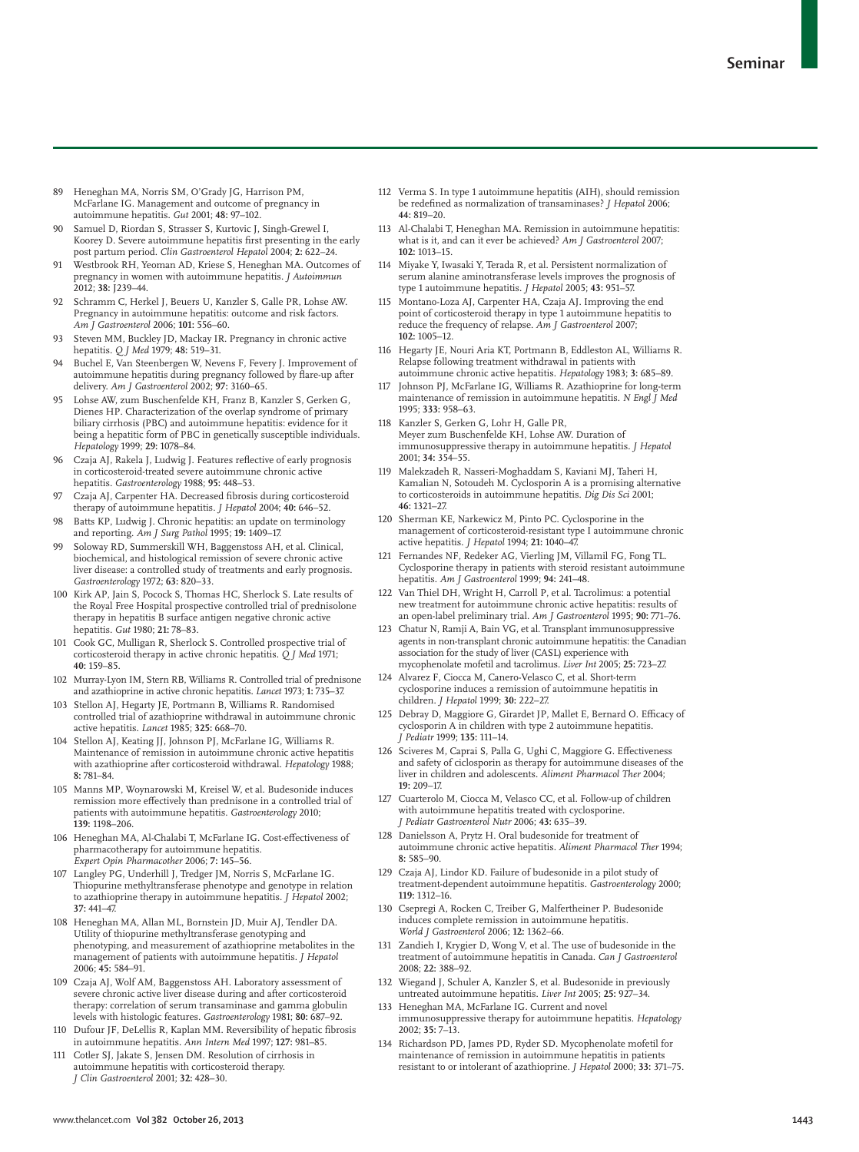- 89 Heneghan MA, Norris SM, O'Grady JG, Harrison PM, McFarlane IG. Management and outcome of pregnancy in autoimmune hepatitis. *Gut* 2001; **48:** 97–102.
- Samuel D, Riordan S, Strasser S, Kurtovic J, Singh-Grewel I, Koorey D. Severe autoimmune hepatitis first presenting in the early post partum period. *Clin Gastroenterol Hepatol* 2004; **2:** 622–24.
- 91 Westbrook RH, Yeoman AD, Kriese S, Heneghan MA. Outcomes of pregnancy in women with autoimmune hepatitis. *J Autoimmun* 2012; **38:** J239–44.
- 92 Schramm C, Herkel J, Beuers U, Kanzler S, Galle PR, Lohse AW. Pregnancy in autoimmune hepatitis: outcome and risk factors. *Am J Gastroenterol* 2006; **101:** 556–60.
- 93 Steven MM, Buckley JD, Mackay IR. Pregnancy in chronic active hepatitis. *Q J Med* 1979; **48:** 519–31.
- 94 Buchel E, Van Steenbergen W, Nevens F, Fevery J. Improvement of autoimmune hepatitis during pregnancy followed by flare-up after delivery. *Am J Gastroenterol* 2002; **97:** 3160–65.
- 95 Lohse AW, zum Buschenfelde KH, Franz B, Kanzler S, Gerken G, Dienes HP. Characterization of the overlap syndrome of primary biliary cirrhosis (PBC) and autoimmune hepatitis: evidence for it being a hepatitic form of PBC in genetically susceptible individuals. *Hepatology* 1999; **29:** 1078–84.
- Czaja AJ, Rakela J, Ludwig J. Features reflective of early prognosis in corticosteroid-treated severe autoimmune chronic active hepatitis. *Gastroenterology* 1988; **95:** 448–53.
- 97 Czaja AJ, Carpenter HA. Decreased fibrosis during corticosteroid therapy of autoimmune hepatitis. *J Hepatol* 2004; **40:** 646–52.
- 98 Batts KP, Ludwig J. Chronic hepatitis: an update on terminology and reporting. *Am J Surg Pathol* 1995; **19:** 1409–17.
- 99 Soloway RD, Summerskill WH, Baggenstoss AH, et al. Clinical, biochemical, and histological remission of severe chronic active liver disease: a controlled study of treatments and early prognosis. *Gastroenterology* 1972; **63:** 820–33.
- 100 Kirk AP, Jain S, Pocock S, Thomas HC, Sherlock S. Late results of the Royal Free Hospital prospective controlled trial of prednisolone therapy in hepatitis B surface antigen negative chronic active hepatitis. *Gut* 1980; **21:** 78–83.
- 101 Cook GC, Mulligan R, Sherlock S. Controlled prospective trial of corticosteroid therapy in active chronic hepatitis. *Q J Med* 1971; **40:** 159–85.
- 102 Murray-Lyon IM, Stern RB, Williams R. Controlled trial of prednisone and azathioprine in active chronic hepatitis. *Lancet* 1973; **1:** 735–37.
- 103 Stellon AJ, Hegarty JE, Portmann B, Williams R. Randomised controlled trial of azathioprine withdrawal in autoimmune chronic active hepatitis. *Lancet* 1985; **325:** 668–70.
- 104 Stellon AJ, Keating JJ, Johnson PJ, McFarlane IG, Williams R. Maintenance of remission in autoimmune chronic active hepatitis with azathioprine after corticosteroid withdrawal. *Hepatology* 1988; **8:** 781–84.
- 105 Manns MP, Woynarowski M, Kreisel W, et al. Budesonide induces remission more effectively than prednisone in a controlled trial of patients with autoimmune hepatitis. *Gastroenterology* 2010; **139:** 1198–206.
- 106 Heneghan MA, Al-Chalabi T, McFarlane IG, Cost-effectiveness of pharmacotherapy for autoimmune hepatitis. *Expert Opin Pharmacother* 2006; **7:** 145–56.
- 107 Langley PG, Underhill J, Tredger JM, Norris S, McFarlane IG. Thiopurine methyltransferase phenotype and genotype in relation to azathioprine therapy in autoimmune hepatitis. *J Hepatol* 2002; **37:** 441–47.
- 108 Heneghan MA, Allan ML, Bornstein JD, Muir AJ, Tendler DA. Utility of thiopurine methyltransferase genotyping and phenotyping, and measurement of azathioprine metabolites in the management of patients with autoimmune hepatitis. *J Hepatol* 2006; **45:** 584–91.
- 109 Czaja AJ, Wolf AM, Baggenstoss AH. Laboratory assessment of severe chronic active liver disease during and after corticosteroid therapy: correlation of serum transaminase and gamma globulin levels with histologic features. *Gastroenterology* 1981; **80:** 687–92.
- 110 Dufour JF, DeLellis R, Kaplan MM. Reversibility of hepatic fibrosis in autoimmune hepatitis. *Ann Intern Med* 1997; **127:** 981–85.
- Cotler SJ, Jakate S, Jensen DM. Resolution of cirrhosis in autoimmune hepatitis with corticosteroid therapy. *J Clin Gastroenterol* 2001; **32:** 428–30.
- 112 Verma S. In type 1 autoimmune hepatitis (AIH), should remission be redefined as normalization of transaminases? *J Hepatol* 2006; **44:** 819–20.
- 113 Al-Chalabi T, Heneghan MA. Remission in autoimmune hepatitis: what is it, and can it ever be achieved? *Am J Gastroenterol* 2007; **102:** 1013–15.
- 114 Miyake Y, Iwasaki Y, Terada R, et al. Persistent normalization of serum alanine aminotransferase levels improves the prognosis of type 1 autoimmune hepatitis. *J Hepatol* 2005; **43:** 951–57.
- 115 Montano-Loza AJ, Carpenter HA, Czaja AJ. Improving the end point of corticosteroid therapy in type 1 autoimmune hepatitis to reduce the frequency of relapse. *Am J Gastroenterol* 2007; **102:** 1005–12.
- 116 Hegarty JE, Nouri Aria KT, Portmann B, Eddleston AL, Williams R. Relapse following treatment withdrawal in patients with autoimmune chronic active hepatitis. *Hepatology* 1983; **3:** 685–89.
- 117 Johnson PJ, McFarlane IG, Williams R. Azathioprine for long-term maintenance of remission in autoimmune hepatitis. *N Engl J Med* 1995; **333:** 958–63.
- 118 Kanzler S, Gerken G, Lohr H, Galle PR, Meyer zum Buschenfelde KH, Lohse AW. Duration of immunosuppressive therapy in autoimmune hepatitis. *J Hepatol* 2001; **34:** 354–55.
- 119 Malekzadeh R, Nasseri-Moghaddam S, Kaviani MJ, Taheri H, Kamalian N, Sotoudeh M. Cyclosporin A is a promising alternative to corticosteroids in autoimmune hepatitis. *Dig Dis Sci* 2001; **46:** 1321–27.
- 120 Sherman KE, Narkewicz M, Pinto PC. Cyclosporine in the management of corticosteroid-resistant type I autoimmune chronic active hepatitis. *J Hepatol* 1994; **21:** 1040–47.
- Fernandes NF, Redeker AG, Vierling JM, Villamil FG, Fong TL. Cyclosporine therapy in patients with steroid resistant autoimmune hepatitis. *Am J Gastroenterol* 1999; **94:** 241–48.
- 122 Van Thiel DH, Wright H, Carroll P, et al. Tacrolimus: a potential new treatment for autoimmune chronic active hepatitis: results of an open-label preliminary trial. *Am J Gastroenterol* 1995; **90:** 771–76.
- 123 Chatur N, Ramji A, Bain VG, et al. Transplant immunosuppressive agents in non-transplant chronic autoimmune hepatitis: the Canadian association for the study of liver (CASL) experience with mycophenolate mofetil and tacrolimus. *Liver Int* 2005; **25:** 723–27.
- 124 Alvarez F, Ciocca M, Canero-Velasco C, et al. Short-term cyclosporine induces a remission of autoimmune hepatitis in children. *J Hepatol* 1999; **30:** 222–27.
- 125 Debray D, Maggiore G, Girardet JP, Mallet E, Bernard O. Efficacy of cyclosporin A in children with type 2 autoimmune hepatitis. *J Pediatr* 1999; **135:** 111–14.
- 126 Sciveres M, Caprai S, Palla G, Ughi C, Maggiore G. Effectiveness and safety of ciclosporin as therapy for autoimmune diseases of the liver in children and adolescents. *Aliment Pharmacol Ther* 2004; **19:** 209–17.
- 127 Cuarterolo M, Ciocca M, Velasco CC, et al. Follow-up of children with autoimmune hepatitis treated with cyclosporine. *J Pediatr Gastroenterol Nutr* 2006; **43:** 635–39.
- 128 Danielsson A, Prytz H. Oral budesonide for treatment of autoimmune chronic active hepatitis. *Aliment Pharmacol Ther* 1994; **8:** 585–90.
- 129 Czaja AJ, Lindor KD. Failure of budesonide in a pilot study of treatment-dependent autoimmune hepatitis. *Gastroenterology* 2000; **119:** 1312–16.
- 130 Csepregi A, Rocken C, Treiber G, Malfertheiner P. Budesonide induces complete remission in autoimmune hepatitis. *World J Gastroenterol* 2006; **12:** 1362–66.
- 131 Zandieh I, Krygier D, Wong V, et al. The use of budesonide in the treatment of autoimmune hepatitis in Canada. *Can J Gastroenterol* 2008; **22:** 388–92.
- Wiegand J, Schuler A, Kanzler S, et al. Budesonide in previously untreated autoimmune hepatitis. *Liver Int* 2005; **25:** 927–34.
- 133 Heneghan MA, McFarlane IG. Current and novel immunosuppressive therapy for autoimmune hepatitis. *Hepatology* 2002; **35:** 7–13.
- 134 Richardson PD, James PD, Ryder SD. Mycophenolate mofetil for maintenance of remission in autoimmune hepatitis in patients resistant to or intolerant of azathioprine. *J Hepatol* 2000; **33:** 371–75.